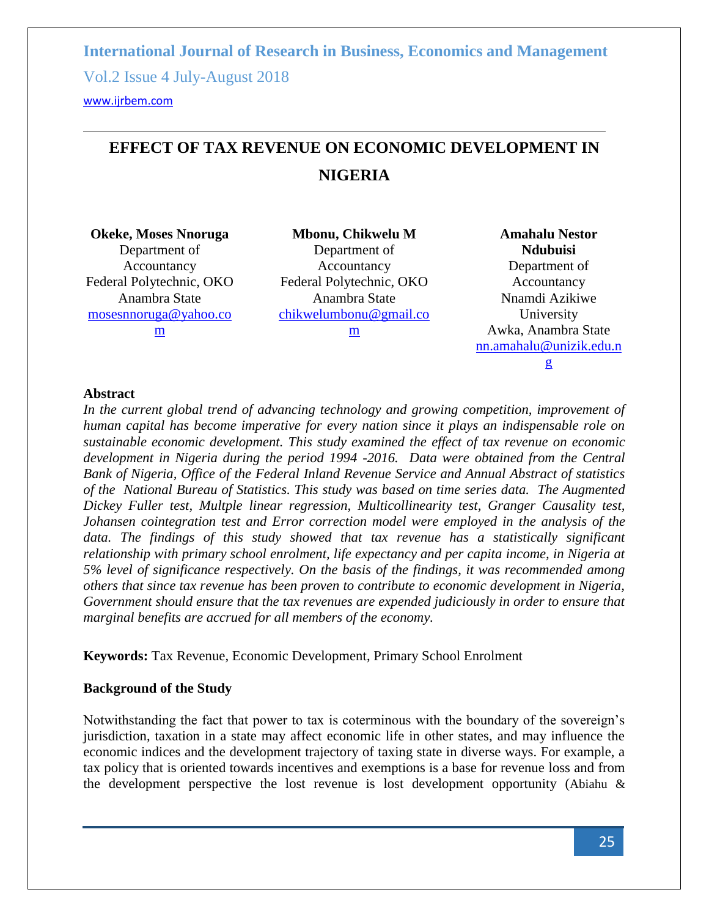<www.ijrbem.com>

# **EFFECT OF TAX REVENUE ON ECONOMIC DEVELOPMENT IN NIGERIA**

**Okeke, Moses Nnoruga** Department of Accountancy Federal Polytechnic, OKO Anambra State [mosesnnoruga@yahoo.co](mailto:mosesnnoruga@yahoo.com) [m](mailto:mosesnnoruga@yahoo.com)

**Mbonu, Chikwelu M** Department of Accountancy Federal Polytechnic, OKO Anambra State [chikwelumbonu@gmail.co](mailto:chikwelumbonu@gmail.com) [m](mailto:chikwelumbonu@gmail.com)

**Amahalu Nestor Ndubuisi** Department of Accountancy Nnamdi Azikiwe University Awka, Anambra State [nn.amahalu@unizik.edu.n](mailto:nn.amahalu@unizik.edu.ng) [g](mailto:nn.amahalu@unizik.edu.ng)

### **Abstract**

*In the current global trend of advancing technology and growing competition, improvement of human capital has become imperative for every nation since it plays an indispensable role on sustainable economic development. This study examined the effect of tax revenue on economic development in Nigeria during the period 1994 -2016. Data were obtained from the Central Bank of Nigeria, Office of the Federal Inland Revenue Service and Annual Abstract of statistics of the National Bureau of Statistics. This study was based on time series data. The Augmented Dickey Fuller test, Multple linear regression, Multicollinearity test, Granger Causality test, Johansen cointegration test and Error correction model were employed in the analysis of the data. The findings of this study showed that tax revenue has a statistically significant relationship with primary school enrolment, life expectancy and per capita income, in Nigeria at 5% level of significance respectively. On the basis of the findings, it was recommended among others that since tax revenue has been proven to contribute to economic development in Nigeria, Government should ensure that the tax revenues are expended judiciously in order to ensure that marginal benefits are accrued for all members of the economy.* 

**Keywords:** Tax Revenue, Economic Development, Primary School Enrolment

# **Background of the Study**

Notwithstanding the fact that power to tax is coterminous with the boundary of the sovereign's jurisdiction, taxation in a state may affect economic life in other states, and may influence the economic indices and the development trajectory of taxing state in diverse ways. For example, a tax policy that is oriented towards incentives and exemptions is a base for revenue loss and from the development perspective the lost revenue is lost development opportunity (Abiahu &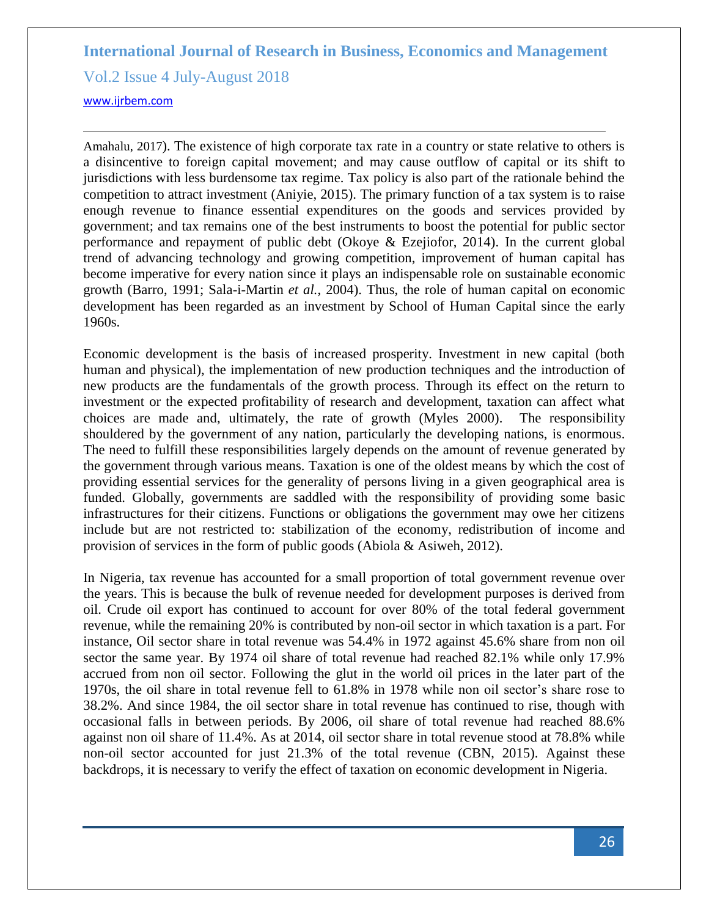Vol.2 Issue 4 July-August 2018

<www.ijrbem.com>

Amahalu, 2017). The existence of high corporate tax rate in a country or state relative to others is a disincentive to foreign capital movement; and may cause outflow of capital or its shift to jurisdictions with less burdensome tax regime. Tax policy is also part of the rationale behind the competition to attract investment (Aniyie, 2015). The primary function of a tax system is to raise enough revenue to finance essential expenditures on the goods and services provided by government; and tax remains one of the best instruments to boost the potential for public sector performance and repayment of public debt (Okoye & Ezejiofor, 2014). In the current global trend of advancing technology and growing competition, improvement of human capital has become imperative for every nation since it plays an indispensable role on sustainable economic growth (Barro, 1991; Sala-i-Martin *et al.*, 2004). Thus, the role of human capital on economic development has been regarded as an investment by School of Human Capital since the early 1960s.

Economic development is the basis of increased prosperity. Investment in new capital (both human and physical), the implementation of new production techniques and the introduction of new products are the fundamentals of the growth process. Through its effect on the return to investment or the expected profitability of research and development, taxation can affect what choices are made and, ultimately, the rate of growth (Myles 2000). The responsibility shouldered by the government of any nation, particularly the developing nations, is enormous. The need to fulfill these responsibilities largely depends on the amount of revenue generated by the government through various means. Taxation is one of the oldest means by which the cost of providing essential services for the generality of persons living in a given geographical area is funded. Globally, governments are saddled with the responsibility of providing some basic infrastructures for their citizens. Functions or obligations the government may owe her citizens include but are not restricted to: stabilization of the economy, redistribution of income and provision of services in the form of public goods (Abiola & Asiweh, 2012).

In Nigeria, tax revenue has accounted for a small proportion of total government revenue over the years. This is because the bulk of revenue needed for development purposes is derived from oil. Crude oil export has continued to account for over 80% of the total federal government revenue, while the remaining 20% is contributed by non-oil sector in which taxation is a part. For instance, Oil sector share in total revenue was 54.4% in 1972 against 45.6% share from non oil sector the same year. By 1974 oil share of total revenue had reached 82.1% while only 17.9% accrued from non oil sector. Following the glut in the world oil prices in the later part of the 1970s, the oil share in total revenue fell to 61.8% in 1978 while non oil sector's share rose to 38.2%. And since 1984, the oil sector share in total revenue has continued to rise, though with occasional falls in between periods. By 2006, oil share of total revenue had reached 88.6% against non oil share of 11.4%. As at 2014, oil sector share in total revenue stood at 78.8% while non-oil sector accounted for just 21.3% of the total revenue (CBN, 2015). Against these backdrops, it is necessary to verify the effect of taxation on economic development in Nigeria.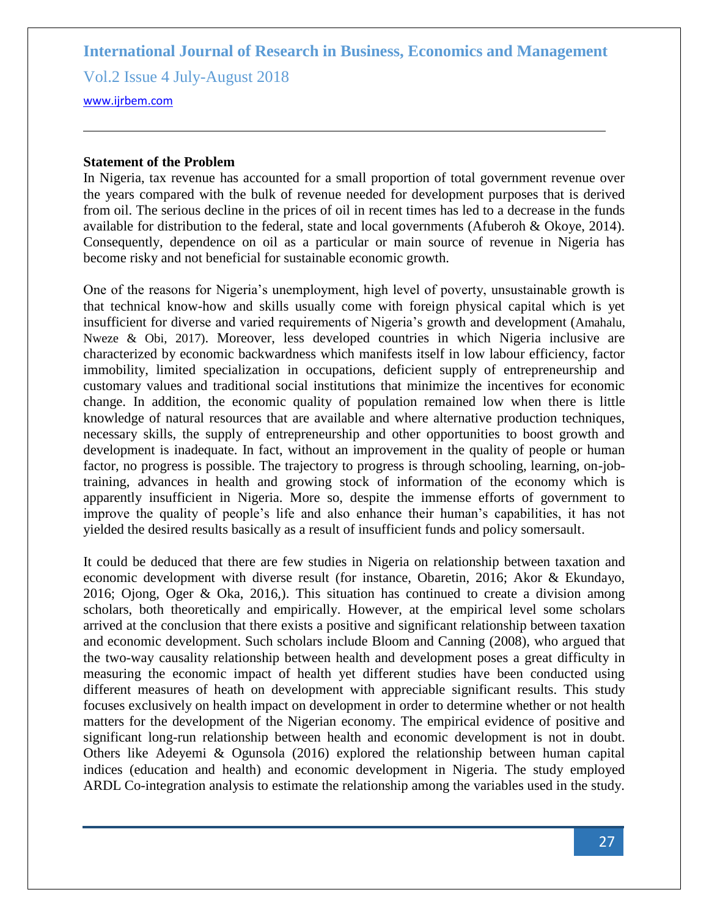Vol.2 Issue 4 July-August 2018

<www.ijrbem.com>

#### **Statement of the Problem**

In Nigeria, tax revenue has accounted for a small proportion of total government revenue over the years compared with the bulk of revenue needed for development purposes that is derived from oil. The serious decline in the prices of oil in recent times has led to a decrease in the funds available for distribution to the federal, state and local governments (Afuberoh & Okoye, 2014). Consequently, dependence on oil as a particular or main source of revenue in Nigeria has become risky and not beneficial for sustainable economic growth.

One of the reasons for Nigeria's unemployment, high level of poverty, unsustainable growth is that technical know-how and skills usually come with foreign physical capital which is yet insufficient for diverse and varied requirements of Nigeria's growth and development (Amahalu, Nweze & Obi, 2017). Moreover, less developed countries in which Nigeria inclusive are characterized by economic backwardness which manifests itself in low labour efficiency, factor immobility, limited specialization in occupations, deficient supply of entrepreneurship and customary values and traditional social institutions that minimize the incentives for economic change. In addition, the economic quality of population remained low when there is little knowledge of natural resources that are available and where alternative production techniques, necessary skills, the supply of entrepreneurship and other opportunities to boost growth and development is inadequate. In fact, without an improvement in the quality of people or human factor, no progress is possible. The trajectory to progress is through schooling, learning, on-jobtraining, advances in health and growing stock of information of the economy which is apparently insufficient in Nigeria. More so, despite the immense efforts of government to improve the quality of people's life and also enhance their human's capabilities, it has not yielded the desired results basically as a result of insufficient funds and policy somersault.

It could be deduced that there are few studies in Nigeria on relationship between taxation and economic development with diverse result (for instance, Obaretin, 2016; Akor & Ekundayo, 2016; Ojong, Oger & Oka, 2016,). This situation has continued to create a division among scholars, both theoretically and empirically. However, at the empirical level some scholars arrived at the conclusion that there exists a positive and significant relationship between taxation and economic development. Such scholars include Bloom and Canning (2008), who argued that the two-way causality relationship between health and development poses a great difficulty in measuring the economic impact of health yet different studies have been conducted using different measures of heath on development with appreciable significant results. This study focuses exclusively on health impact on development in order to determine whether or not health matters for the development of the Nigerian economy. The empirical evidence of positive and significant long-run relationship between health and economic development is not in doubt. Others like Adeyemi & Ogunsola (2016) explored the relationship between human capital indices (education and health) and economic development in Nigeria. The study employed ARDL Co-integration analysis to estimate the relationship among the variables used in the study.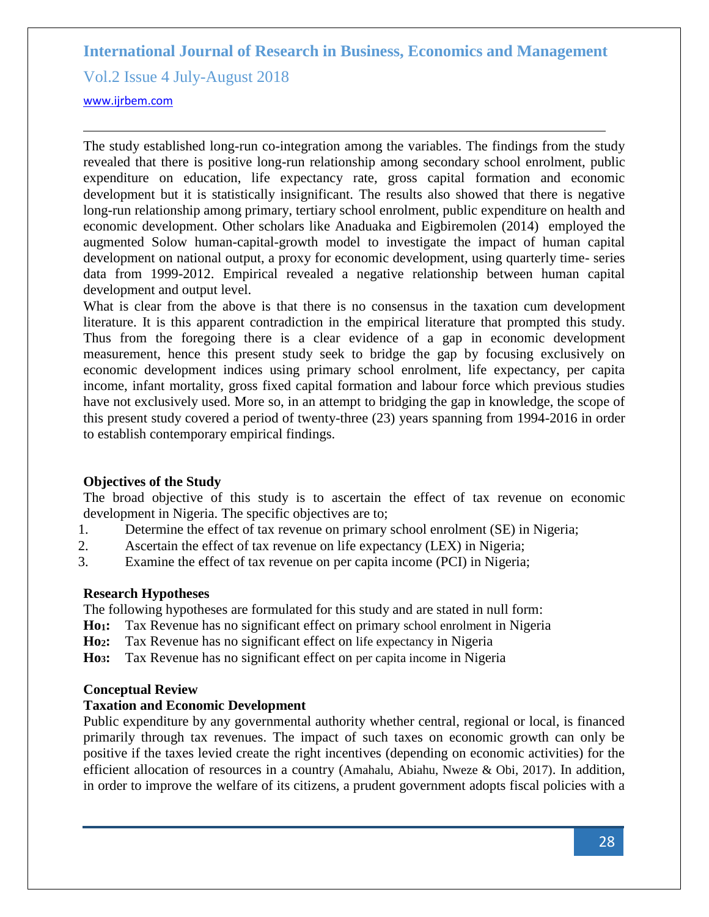Vol.2 Issue 4 July-August 2018

<www.ijrbem.com>

The study established long-run co-integration among the variables. The findings from the study revealed that there is positive long-run relationship among secondary school enrolment, public expenditure on education, life expectancy rate, gross capital formation and economic development but it is statistically insignificant. The results also showed that there is negative long-run relationship among primary, tertiary school enrolment, public expenditure on health and economic development. Other scholars like Anaduaka and Eigbiremolen (2014) employed the augmented Solow human-capital-growth model to investigate the impact of human capital development on national output, a proxy for economic development, using quarterly time- series data from 1999-2012. Empirical revealed a negative relationship between human capital development and output level.

What is clear from the above is that there is no consensus in the taxation cum development literature. It is this apparent contradiction in the empirical literature that prompted this study. Thus from the foregoing there is a clear evidence of a gap in economic development measurement, hence this present study seek to bridge the gap by focusing exclusively on economic development indices using primary school enrolment, life expectancy, per capita income, infant mortality, gross fixed capital formation and labour force which previous studies have not exclusively used. More so, in an attempt to bridging the gap in knowledge, the scope of this present study covered a period of twenty-three (23) years spanning from 1994-2016 in order to establish contemporary empirical findings.

### **Objectives of the Study**

The broad objective of this study is to ascertain the effect of tax revenue on economic development in Nigeria. The specific objectives are to;

- 1. Determine the effect of tax revenue on primary school enrolment (SE) in Nigeria;
- 2. Ascertain the effect of tax revenue on life expectancy (LEX) in Nigeria;
- 3. Examine the effect of tax revenue on per capita income (PCI) in Nigeria;

#### **Research Hypotheses**

The following hypotheses are formulated for this study and are stated in null form:

**Ho1:** Tax Revenue has no significant effect on primary school enrolment in Nigeria

- **Ho2:** Tax Revenue has no significant effect on life expectancy in Nigeria
- **Ho3:** Tax Revenue has no significant effect on per capita income in Nigeria

#### **Conceptual Review**

#### **Taxation and Economic Development**

Public expenditure by any governmental authority whether central, regional or local, is financed primarily through tax revenues. The impact of such taxes on economic growth can only be positive if the taxes levied create the right incentives (depending on economic activities) for the efficient allocation of resources in a country (Amahalu, Abiahu, Nweze & Obi, 2017). In addition, in order to improve the welfare of its citizens, a prudent government adopts fiscal policies with a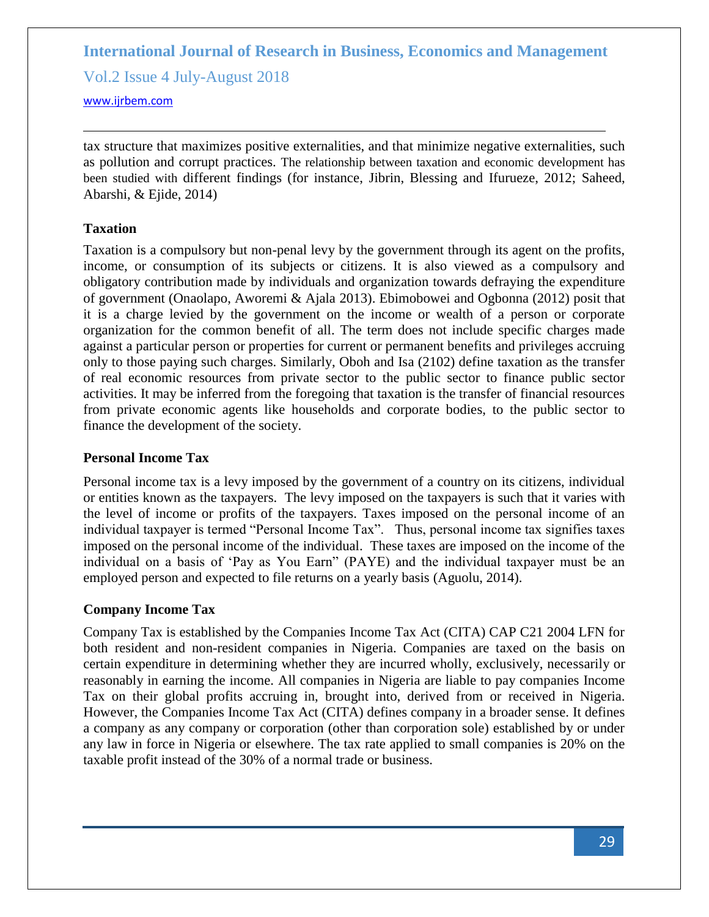Vol.2 Issue 4 July-August 2018

<www.ijrbem.com>

tax structure that maximizes positive externalities, and that minimize negative externalities, such as pollution and corrupt practices. The relationship between taxation and economic development has been studied with different findings (for instance, Jibrin, Blessing and Ifurueze, 2012; Saheed, Abarshi, & Ejide, 2014)

### **Taxation**

Taxation is a compulsory but non-penal levy by the government through its agent on the profits, income, or consumption of its subjects or citizens. It is also viewed as a compulsory and obligatory contribution made by individuals and organization towards defraying the expenditure of government (Onaolapo, Aworemi & Ajala 2013). Ebimobowei and Ogbonna (2012) posit that it is a charge levied by the government on the income or wealth of a person or corporate organization for the common benefit of all. The term does not include specific charges made against a particular person or properties for current or permanent benefits and privileges accruing only to those paying such charges. Similarly, Oboh and Isa (2102) define taxation as the transfer of real economic resources from private sector to the public sector to finance public sector activities. It may be inferred from the foregoing that taxation is the transfer of financial resources from private economic agents like households and corporate bodies, to the public sector to finance the development of the society.

### **Personal Income Tax**

Personal income tax is a levy imposed by the government of a country on its citizens, individual or entities known as the taxpayers. The levy imposed on the taxpayers is such that it varies with the level of income or profits of the taxpayers. Taxes imposed on the personal income of an individual taxpayer is termed "Personal Income Tax". Thus, personal income tax signifies taxes imposed on the personal income of the individual. These taxes are imposed on the income of the individual on a basis of 'Pay as You Earn" (PAYE) and the individual taxpayer must be an employed person and expected to file returns on a yearly basis (Aguolu, 2014).

### **Company Income Tax**

Company Tax is established by the Companies Income Tax Act (CITA) CAP C21 2004 LFN for both resident and non-resident companies in Nigeria. Companies are taxed on the basis on certain expenditure in determining whether they are incurred wholly, exclusively, necessarily or reasonably in earning the income. All companies in Nigeria are liable to pay companies Income Tax on their global profits accruing in, brought into, derived from or received in Nigeria. However, the Companies Income Tax Act (CITA) defines company in a broader sense. It defines a company as any company or corporation (other than corporation sole) established by or under any law in force in Nigeria or elsewhere. The tax rate applied to small companies is 20% on the taxable profit instead of the 30% of a normal trade or business.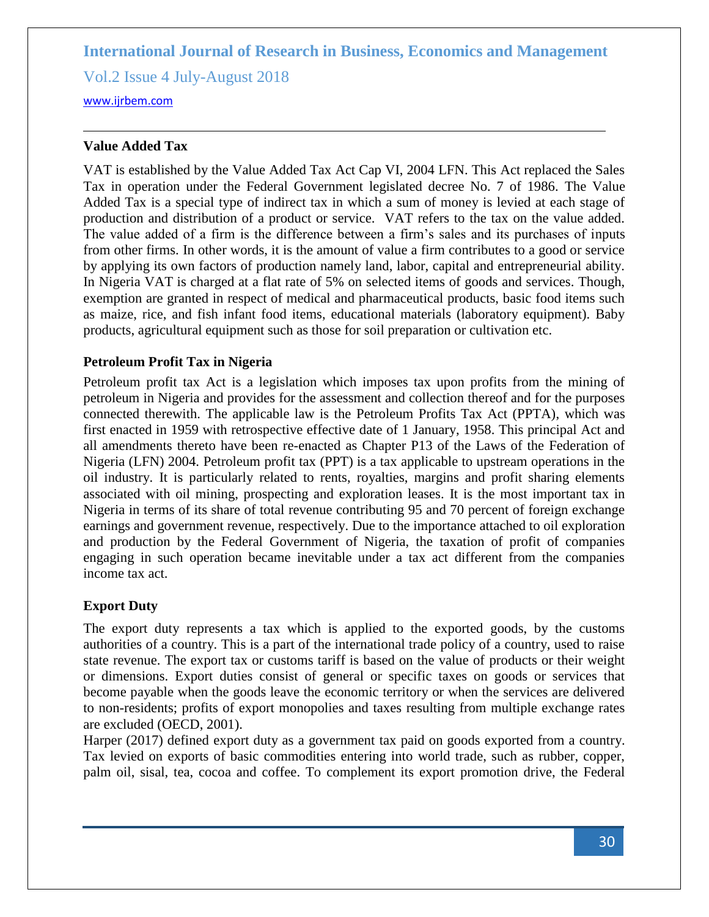Vol.2 Issue 4 July-August 2018

<www.ijrbem.com>

### **Value Added Tax**

VAT is established by the Value Added Tax Act Cap VI, 2004 LFN. This Act replaced the Sales Tax in operation under the Federal Government legislated decree No. 7 of 1986. The Value Added Tax is a special type of indirect tax in which a sum of money is levied at each stage of production and distribution of a product or service. VAT refers to the tax on the value added. The value added of a firm is the difference between a firm's sales and its purchases of inputs from other firms. In other words, it is the amount of value a firm contributes to a good or service by applying its own factors of production namely land, labor, capital and entrepreneurial ability. In Nigeria VAT is charged at a flat rate of 5% on selected items of goods and services. Though, exemption are granted in respect of medical and pharmaceutical products, basic food items such as maize, rice, and fish infant food items, educational materials (laboratory equipment). Baby products, agricultural equipment such as those for soil preparation or cultivation etc.

### **Petroleum Profit Tax in Nigeria**

Petroleum profit tax Act is a legislation which imposes tax upon profits from the mining of petroleum in Nigeria and provides for the assessment and collection thereof and for the purposes connected therewith. The applicable law is the Petroleum Profits Tax Act (PPTA), which was first enacted in 1959 with retrospective effective date of 1 January, 1958. This principal Act and all amendments thereto have been re-enacted as Chapter P13 of the Laws of the Federation of Nigeria (LFN) 2004. Petroleum profit tax (PPT) is a tax applicable to upstream operations in the oil industry. It is particularly related to rents, royalties, margins and profit sharing elements associated with oil mining, prospecting and exploration leases. It is the most important tax in Nigeria in terms of its share of total revenue contributing 95 and 70 percent of foreign exchange earnings and government revenue, respectively. Due to the importance attached to oil exploration and production by the Federal Government of Nigeria, the taxation of profit of companies engaging in such operation became inevitable under a tax act different from the companies income tax act.

# **Export Duty**

The export duty represents a tax which is applied to the exported goods, by the customs authorities of a country. This is a part of the international trade policy of a country, used to raise state revenue. The export tax or customs tariff is based on the value of products or their weight or dimensions. Export duties consist of general or specific taxes on goods or services that become payable when the goods leave the economic territory or when the services are delivered to non-residents; profits of export monopolies and taxes resulting from multiple exchange rates are excluded (OECD, 2001).

Harper (2017) defined export duty as a government [tax](https://www.collinsdictionary.com/dictionary/english/tax) paid on goods [exported](https://www.collinsdictionary.com/dictionary/english/export) from a country. Tax levied on exports of basic commodities entering into world trade, such as rubber, copper, palm oil, sisal, tea, cocoa and coffee. To complement its export promotion drive, the Federal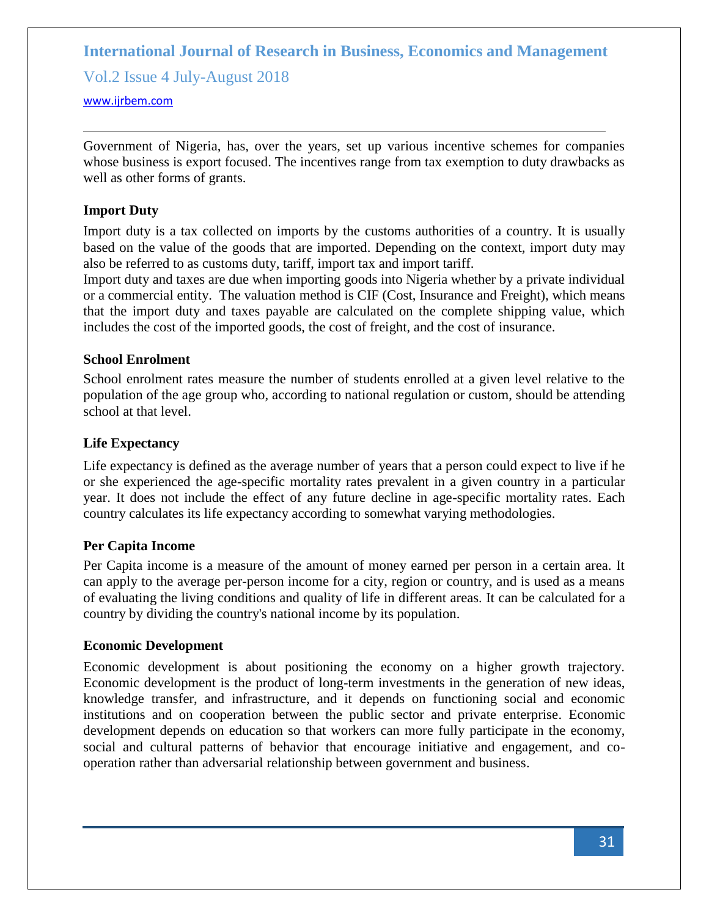Vol.2 Issue 4 July-August 2018

#### <www.ijrbem.com>

Government of Nigeria, has, over the years, set up various incentive schemes for companies whose business is export focused. The incentives range from tax exemption to duty drawbacks as well as other forms of grants.

### **Import Duty**

Import duty is a tax collected on [imports](http://www.investopedia.com/terms/i/import.asp) by the customs authorities of a country. It is usually based on the value of the goods that are imported. Depending on the context, import duty may also be referred to as customs duty, tariff, import tax and import tariff.

Import duty and taxes are due when importing goods into Nigeria whether by a private individual or a commercial entity. The valuation method is CIF (Cost, Insurance and Freight), which means that the import duty and taxes payable are calculated on the complete shipping value, which includes the cost of the imported goods, the cost of freight, and the cost of insurance.

### **School Enrolment**

School enrolment rates measure the number of students enrolled at a given level relative to the population of the age group who, according to national regulation or custom, should be attending school at that level.

### **Life Expectancy**

Life expectancy is defined as the average number of years that a person could expect to live if he or she experienced the age-specific mortality rates prevalent in a given country in a particular year. It does not include the effect of any future decline in age-specific mortality rates. Each country calculates its life expectancy according to somewhat varying methodologies.

#### **Per Capita Income**

[Per Capita](http://www.investopedia.com/terms/p/percapita.asp) income is a measure of the amount of money earned per person in a certain area. It can apply to the average per-person income for a city, region or country, and is used as a means of evaluating the living conditions and [quality of life](http://www.investopedia.com/terms/q/quality-of-life.asp) in different areas. It can be calculated for a country by dividing the country's national income by its population.

### **Economic Development**

Economic development is about positioning the economy on a higher growth trajectory. Economic development is the product of long-term investments in the generation of new ideas, knowledge transfer, and infrastructure, and it depends on functioning social and economic institutions and on cooperation between the public sector and private enterprise. Economic development depends on education so that workers can more fully participate in the economy, social and cultural patterns of behavior that encourage initiative and engagement, and cooperation rather than adversarial relationship between government and business.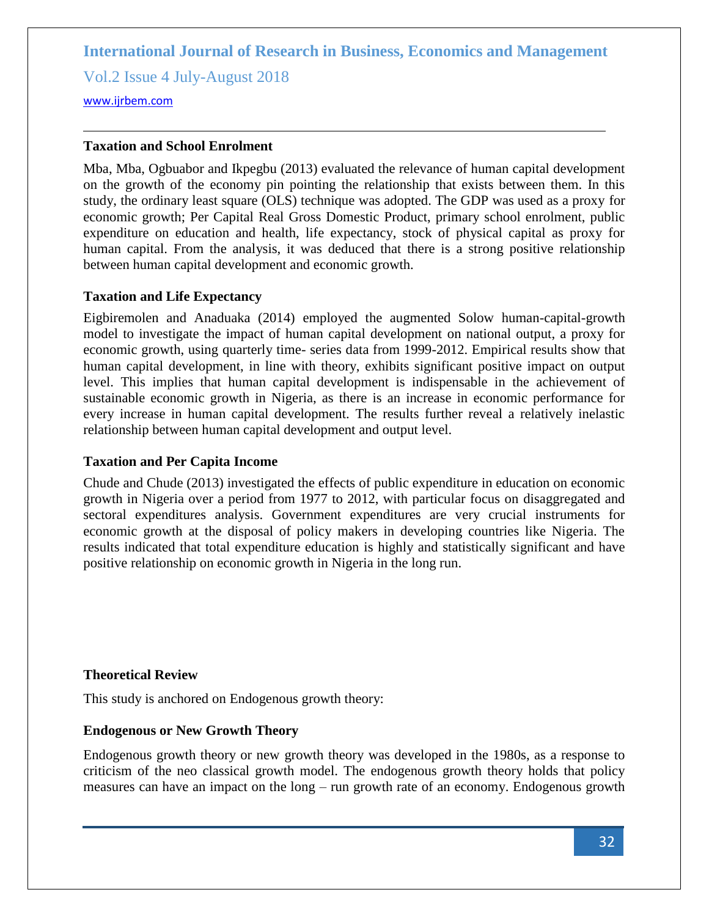Vol.2 Issue 4 July-August 2018

<www.ijrbem.com>

### **Taxation and School Enrolment**

Mba, Mba, Ogbuabor and Ikpegbu (2013) evaluated the relevance of human capital development on the growth of the economy pin pointing the relationship that exists between them. In this study, the ordinary least square (OLS) technique was adopted. The GDP was used as a proxy for economic growth; Per Capital Real Gross Domestic Product, primary school enrolment, public expenditure on education and health, life expectancy, stock of physical capital as proxy for human capital. From the analysis, it was deduced that there is a strong positive relationship between human capital development and economic growth.

### **Taxation and Life Expectancy**

Eigbiremolen and Anaduaka (2014) employed the augmented Solow human-capital-growth model to investigate the impact of human capital development on national output, a proxy for economic growth, using quarterly time- series data from 1999-2012. Empirical results show that human capital development, in line with theory, exhibits significant positive impact on output level. This implies that human capital development is indispensable in the achievement of sustainable economic growth in Nigeria, as there is an increase in economic performance for every increase in human capital development. The results further reveal a relatively inelastic relationship between human capital development and output level.

### **Taxation and Per Capita Income**

Chude and Chude (2013) investigated the effects of public expenditure in education on economic growth in Nigeria over a period from 1977 to 2012, with particular focus on disaggregated and sectoral expenditures analysis. Government expenditures are very crucial instruments for economic growth at the disposal of policy makers in developing countries like Nigeria. The results indicated that total expenditure education is highly and statistically significant and have positive relationship on economic growth in Nigeria in the long run.

### **Theoretical Review**

This study is anchored on Endogenous growth theory:

### **Endogenous or New Growth Theory**

Endogenous growth theory or new growth theory was developed in the 1980s, as a response to criticism of the neo classical growth model. The endogenous growth theory holds that policy measures can have an impact on the long – run growth rate of an economy. Endogenous growth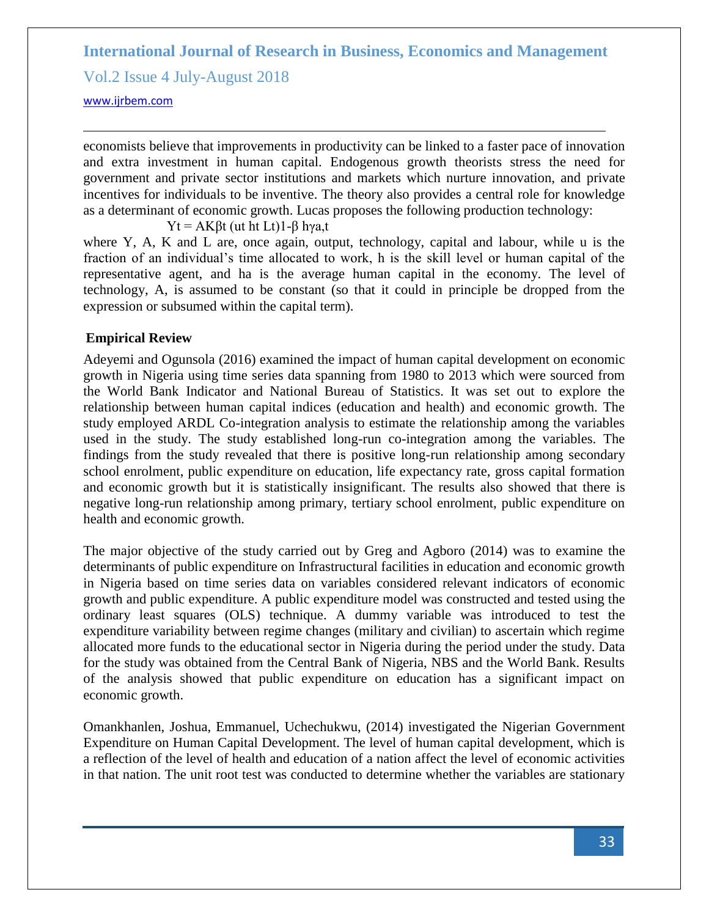Vol.2 Issue 4 July-August 2018

<www.ijrbem.com>

economists believe that improvements in productivity can be linked to a faster pace of innovation and extra investment in human capital. Endogenous growth theorists stress the need for government and private sector institutions and markets which nurture innovation, and private incentives for individuals to be inventive. The theory also provides a central role for knowledge as a determinant of economic growth. Lucas proposes the following production technology:

Yt = AKβt (ut ht Lt)1-β hγa,t

where Y, A, K and L are, once again, output, technology, capital and labour, while u is the fraction of an individual's time allocated to work, h is the skill level or human capital of the representative agent, and ha is the average human capital in the economy. The level of technology, A, is assumed to be constant (so that it could in principle be dropped from the expression or subsumed within the capital term).

# **Empirical Review**

Adeyemi and Ogunsola (2016) examined the impact of human capital development on economic growth in Nigeria using time series data spanning from 1980 to 2013 which were sourced from the World Bank Indicator and National Bureau of Statistics. It was set out to explore the relationship between human capital indices (education and health) and economic growth. The study employed ARDL Co-integration analysis to estimate the relationship among the variables used in the study. The study established long-run co-integration among the variables. The findings from the study revealed that there is positive long-run relationship among secondary school enrolment, public expenditure on education, life expectancy rate, gross capital formation and economic growth but it is statistically insignificant. The results also showed that there is negative long-run relationship among primary, tertiary school enrolment, public expenditure on health and economic growth.

The major objective of the study carried out by Greg and Agboro (2014) was to examine the determinants of public expenditure on Infrastructural facilities in education and economic growth in Nigeria based on time series data on variables considered relevant indicators of economic growth and public expenditure. A public expenditure model was constructed and tested using the ordinary least squares (OLS) technique. A dummy variable was introduced to test the expenditure variability between regime changes (military and civilian) to ascertain which regime allocated more funds to the educational sector in Nigeria during the period under the study. Data for the study was obtained from the Central Bank of Nigeria, NBS and the World Bank. Results of the analysis showed that public expenditure on education has a significant impact on economic growth.

Omankhanlen, Joshua, Emmanuel, Uchechukwu, (2014) investigated the Nigerian Government Expenditure on Human Capital Development. The level of human capital development, which is a reflection of the level of health and education of a nation affect the level of economic activities in that nation. The unit root test was conducted to determine whether the variables are stationary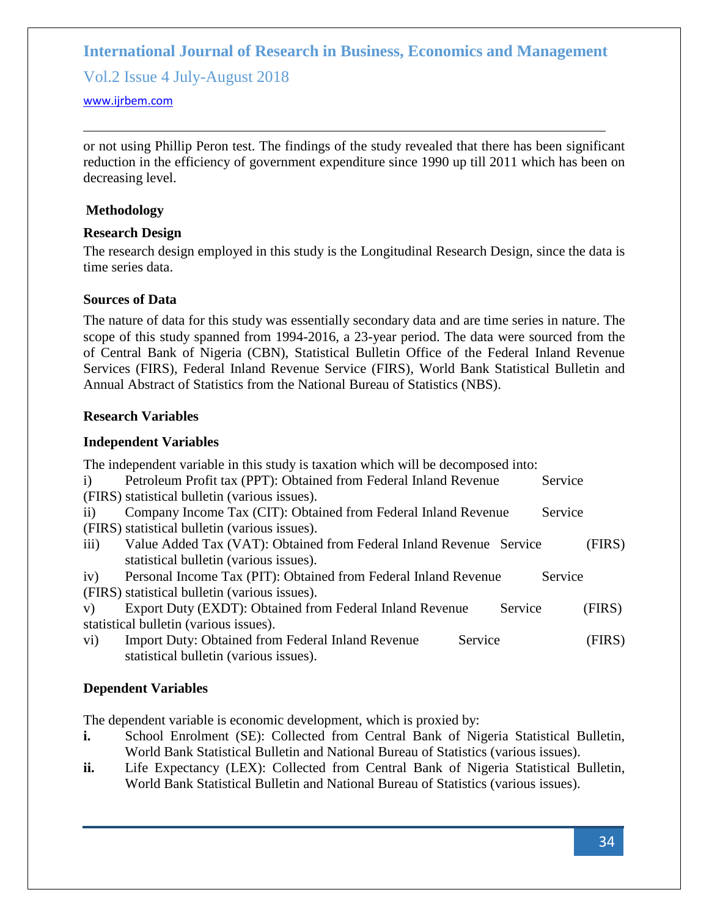Vol.2 Issue 4 July-August 2018

#### <www.ijrbem.com>

or not using Phillip Peron test. The findings of the study revealed that there has been significant reduction in the efficiency of government expenditure since 1990 up till 2011 which has been on decreasing level.

### **Methodology**

# **Research Design**

The research design employed in this study is the Longitudinal Research Design, since the data is time series data.

# **Sources of Data**

The nature of data for this study was essentially secondary data and are time series in nature. The scope of this study spanned from 1994-2016, a 23-year period. The data were sourced from the of Central Bank of Nigeria (CBN), Statistical Bulletin Office of the Federal Inland Revenue Services (FIRS), Federal Inland Revenue Service (FIRS), World Bank Statistical Bulletin and Annual Abstract of Statistics from the National Bureau of Statistics (NBS).

### **Research Variables**

# **Independent Variables**

|                                               | The independent variable in this study is taxation which will be decomposed into: |         |         |
|-----------------------------------------------|-----------------------------------------------------------------------------------|---------|---------|
| $\mathbf{i}$                                  | Petroleum Profit tax (PPT): Obtained from Federal Inland Revenue                  |         | Service |
| (FIRS) statistical bulletin (various issues). |                                                                                   |         |         |
| $\rm ii)$                                     | Company Income Tax (CIT): Obtained from Federal Inland Revenue                    |         | Service |
| (FIRS) statistical bulletin (various issues). |                                                                                   |         |         |
| $\overline{111}$ )                            | Value Added Tax (VAT): Obtained from Federal Inland Revenue Service               |         | (FIRS)  |
| statistical bulletin (various issues).        |                                                                                   |         |         |
| iv)                                           | Personal Income Tax (PIT): Obtained from Federal Inland Revenue                   |         | Service |
| (FIRS) statistical bulletin (various issues). |                                                                                   |         |         |
| V)                                            | Export Duty (EXDT): Obtained from Federal Inland Revenue                          | Service | (FIRS)  |
| statistical bulletin (various issues).        |                                                                                   |         |         |
| $\rm vi)$                                     | <b>Import Duty: Obtained from Federal Inland Revenue</b>                          | Service | (FIRS)  |
| statistical bulletin (various issues).        |                                                                                   |         |         |

# **Dependent Variables**

The dependent variable is economic development, which is proxied by:

- **i.** School Enrolment (SE): Collected from Central Bank of Nigeria Statistical Bulletin, World Bank Statistical Bulletin and National Bureau of Statistics (various issues).
- **ii.** Life Expectancy (LEX): Collected from Central Bank of Nigeria Statistical Bulletin, World Bank Statistical Bulletin and National Bureau of Statistics (various issues).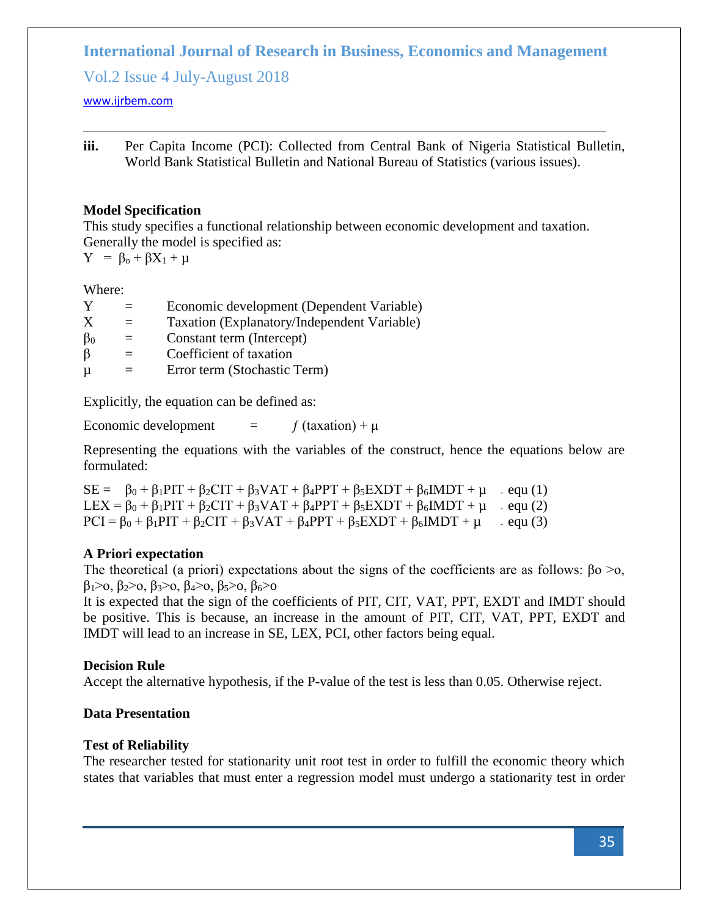Vol.2 Issue 4 July-August 2018

<www.ijrbem.com>

**iii.** Per Capita Income (PCI): Collected from Central Bank of Nigeria Statistical Bulletin, World Bank Statistical Bulletin and National Bureau of Statistics (various issues).

# **Model Specification**

This study specifies a functional relationship between economic development and taxation. Generally the model is specified as:

 $Y = \beta_0 + \beta X_1 + \mu$ 

Where:

| Y         |     | Economic development (Dependent Variable)   |
|-----------|-----|---------------------------------------------|
| X         |     | Taxation (Explanatory/Independent Variable) |
| $\beta_0$ | $=$ | Constant term (Intercept)                   |
| β         |     | Coefficient of taxation                     |
| $\mu$     |     | Error term (Stochastic Term)                |

Explicitly, the equation can be defined as:

Economic development  $=$   $f$  (taxation) +  $\mu$ 

Representing the equations with the variables of the construct, hence the equations below are formulated:

 $SE = \beta_0 + \beta_1$ PIT +  $\beta_2$ CIT +  $\beta_3$ VAT +  $\beta_4$ PPT +  $\beta_5$ EXDT +  $\beta_6$ IMDT +  $\mu$  - equ (1) LEX =  $\beta_0$  +  $\beta_1$ PIT +  $\beta_2$ CIT +  $\beta_3$ VAT +  $\beta_4$ PPT +  $\beta_5$ EXDT +  $\beta_6$ IMDT +  $\mu$  - equ (2)  $PCI = \beta_0 + \beta_1 PIT + \beta_2 CIT + \beta_3 VAT + \beta_4 PPT + \beta_5 EXDT + \beta_6 IMDT + \mu$  - equ (3)

# **A Priori expectation**

The theoretical (a priori) expectations about the signs of the coefficients are as follows:  $\beta$ o >o,  $β<sub>1</sub> > 0, β<sub>2</sub> > 0, β<sub>3</sub> > 0, β<sub>4</sub> > 0, β<sub>5</sub> > 0, β<sub>6</sub> > 0$ 

It is expected that the sign of the coefficients of PIT, CIT, VAT, PPT, EXDT and IMDT should be positive. This is because, an increase in the amount of PIT, CIT, VAT, PPT, EXDT and IMDT will lead to an increase in SE, LEX, PCI, other factors being equal.

# **Decision Rule**

Accept the alternative hypothesis, if the P-value of the test is less than 0.05. Otherwise reject.

# **Data Presentation**

# **Test of Reliability**

The researcher tested for stationarity unit root test in order to fulfill the economic theory which states that variables that must enter a regression model must undergo a stationarity test in order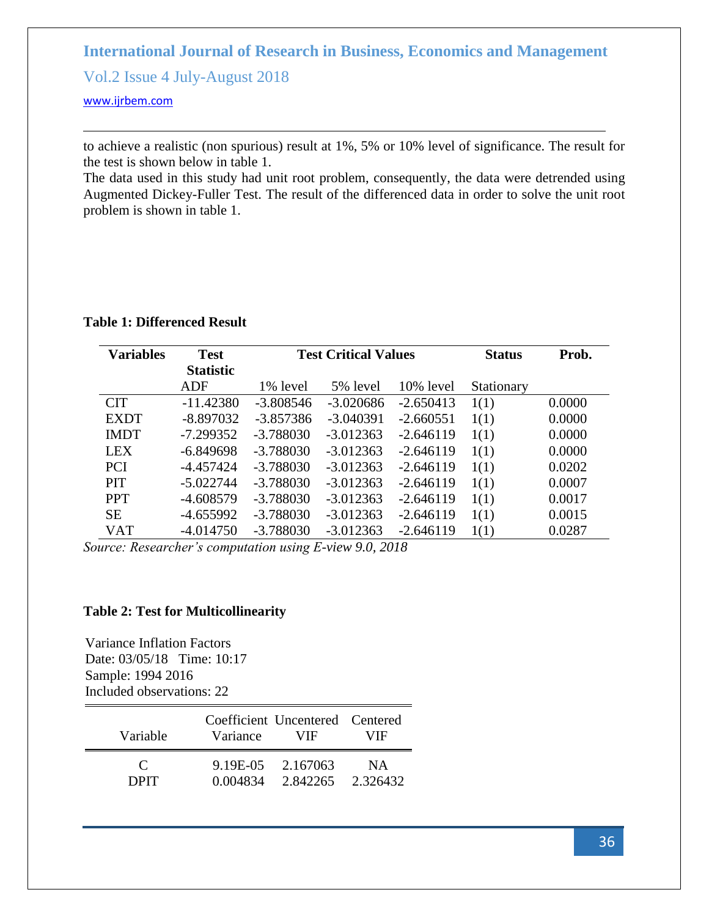Vol.2 Issue 4 July-August 2018

<www.ijrbem.com>

to achieve a realistic (non spurious) result at 1%, 5% or 10% level of significance. The result for the test is shown below in table 1.

The data used in this study had unit root problem, consequently, the data were detrended using Augmented Dickey-Fuller Test. The result of the differenced data in order to solve the unit root problem is shown in table 1.

**Table 1: Differenced Result**

| <b>Variables</b> | <b>Test</b>      |             | <b>Test Critical Values</b> |             |            | Prob.  |
|------------------|------------------|-------------|-----------------------------|-------------|------------|--------|
|                  | <b>Statistic</b> |             |                             |             |            |        |
|                  | <b>ADF</b>       | 1% level    | 5% level                    | 10% level   | Stationary |        |
| <b>CIT</b>       | $-11.42380$      | $-3.808546$ | $-3.020686$                 | $-2.650413$ | 1(1)       | 0.0000 |
| <b>EXDT</b>      | $-8.897032$      | $-3.857386$ | $-3.040391$                 | $-2.660551$ | 1(1)       | 0.0000 |
| <b>IMDT</b>      | $-7.299352$      | $-3.788030$ | $-3.012363$                 | $-2.646119$ | 1(1)       | 0.0000 |
| <b>LEX</b>       | $-6.849698$      | $-3.788030$ | $-3.012363$                 | $-2.646119$ | 1(1)       | 0.0000 |
| <b>PCI</b>       | $-4.457424$      | $-3.788030$ | $-3.012363$                 | $-2.646119$ | 1(1)       | 0.0202 |
| <b>PIT</b>       | $-5.022744$      | $-3.788030$ | $-3.012363$                 | $-2.646119$ | 1(1)       | 0.0007 |
| <b>PPT</b>       | $-4.608579$      | $-3.788030$ | $-3.012363$                 | $-2.646119$ | 1(1)       | 0.0017 |
| <b>SE</b>        | $-4.655992$      | $-3.788030$ | $-3.012363$                 | $-2.646119$ | 1(1)       | 0.0015 |
| <b>VAT</b>       | $-4.014750$      | $-3.788030$ | $-3.012363$                 | $-2.646119$ | 1(1)       | 0.0287 |

*Source: Researcher's computation using E-view 9.0, 2018*

### **Table 2: Test for Multicollinearity**

Variance Inflation Factors Date: 03/05/18 Time: 10:17 Sample: 1994 2016 Included observations: 22

| Variable              | Variance | Coefficient Uncentered Centered<br>VIF. | VIF. |
|-----------------------|----------|-----------------------------------------|------|
| $\mathbf{C}$<br>DPIT. | 0.004834 | 9.19E-05 2.167063<br>2.842265 2.326432  | NA.  |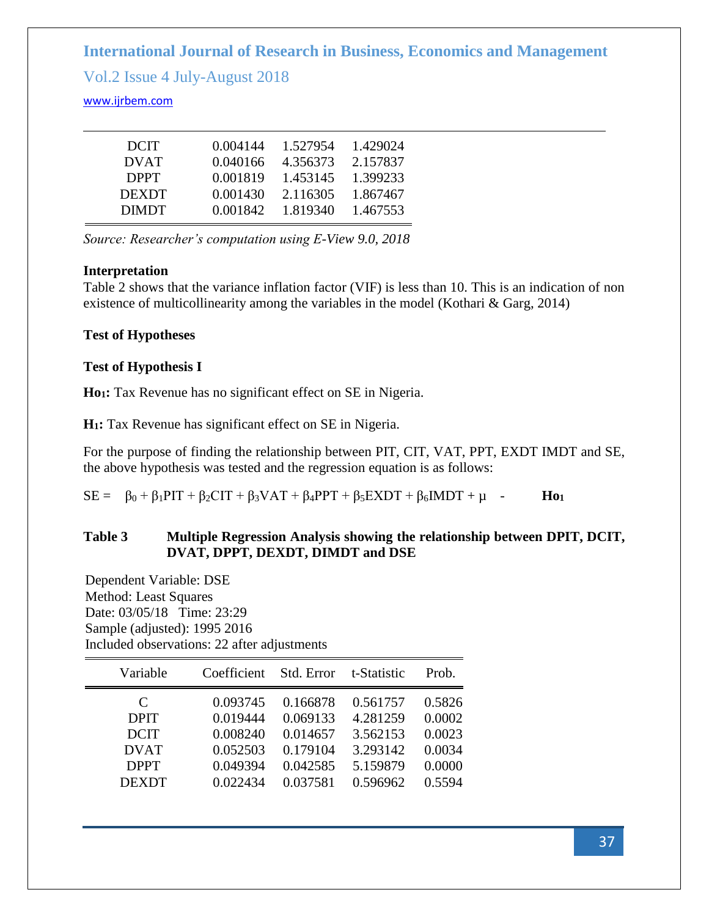Vol.2 Issue 4 July-August 2018

# <www.ijrbem.com>

| <b>DCIT</b>  | 0.004144 | 1.527954 | 1.429024 |
|--------------|----------|----------|----------|
| <b>DVAT</b>  | 0.040166 | 4.356373 | 2.157837 |
| <b>DPPT</b>  | 0.001819 | 1.453145 | 1.399233 |
| <b>DEXDT</b> | 0.001430 | 2.116305 | 1.867467 |
| <b>DIMDT</b> | 0.001842 | 1.819340 | 1.467553 |

*Source: Researcher's computation using E-View 9.0, 2018*

# **Interpretation**

Table 2 shows that the variance inflation factor (VIF) is less than 10. This is an indication of non existence of multicollinearity among the variables in the model (Kothari & Garg, 2014)

# **Test of Hypotheses**

# **Test of Hypothesis I**

**Ho1:** Tax Revenue has no significant effect on SE in Nigeria.

**H1:** Tax Revenue has significant effect on SE in Nigeria.

For the purpose of finding the relationship between PIT, CIT, VAT, PPT, EXDT IMDT and SE, the above hypothesis was tested and the regression equation is as follows:

 $SE = \beta_0 + \beta_1PIT + \beta_2CIT + \beta_3VAT + \beta_4PPT + \beta_5EXDT + \beta_6IMDT + \mu$  - **Ho**<sub>1</sub>

# **Table 3 Multiple Regression Analysis showing the relationship between DPIT, DCIT, DVAT, DPPT, DEXDT, DIMDT and DSE**

Dependent Variable: DSE Method: Least Squares Date: 03/05/18 Time: 23:29 Sample (adjusted): 1995 2016 Included observations: 22 after adjustments

| Variable     | Coefficient | Std. Error | t-Statistic | Prob.  |
|--------------|-------------|------------|-------------|--------|
| C            | 0.093745    | 0.166878   | 0.561757    | 0.5826 |
| <b>DPIT</b>  | 0.019444    | 0.069133   | 4.281259    | 0.0002 |
| <b>DCIT</b>  | 0.008240    | 0.014657   | 3.562153    | 0.0023 |
| <b>DVAT</b>  | 0.052503    | 0.179104   | 3.293142    | 0.0034 |
| <b>DPPT</b>  | 0.049394    | 0.042585   | 5.159879    | 0.0000 |
| <b>DEXDT</b> | 0.022434    | 0.037581   | 0.596962    | 0.5594 |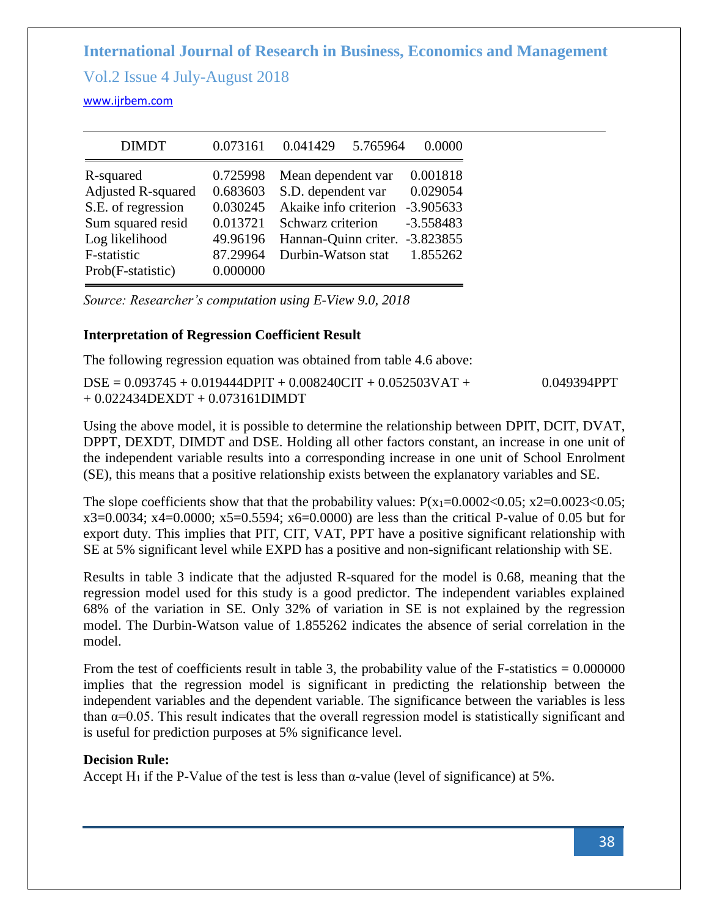Vol.2 Issue 4 July-August 2018

<www.ijrbem.com>

| <b>DIMDT</b>                                                                                                       | 0.073161                                                             | 0.041429<br>5.765964                                                                                                                 | 0.0000                                                                        |
|--------------------------------------------------------------------------------------------------------------------|----------------------------------------------------------------------|--------------------------------------------------------------------------------------------------------------------------------------|-------------------------------------------------------------------------------|
| R-squared<br><b>Adjusted R-squared</b><br>S.E. of regression<br>Sum squared resid<br>Log likelihood<br>F-statistic | 0.725998<br>0.683603<br>0.030245<br>0.013721<br>49.96196<br>87.29964 | Mean dependent var<br>S.D. dependent var<br>Akaike info criterion<br>Schwarz criterion<br>Hannan-Quinn criter.<br>Durbin-Watson stat | 0.001818<br>0.029054<br>$-3.905633$<br>$-3.558483$<br>$-3.823855$<br>1.855262 |
| Prob(F-statistic)                                                                                                  | 0.000000                                                             |                                                                                                                                      |                                                                               |

*Source: Researcher's computation using E-View 9.0, 2018*

# **Interpretation of Regression Coefficient Result**

The following regression equation was obtained from table 4.6 above:

 $DSE = 0.093745 + 0.019444DPIT + 0.008240CIT + 0.052503VAT + 0.049394PPT$ + 0.022434DEXDT + 0.073161DIMDT

Using the above model, it is possible to determine the relationship between DPIT, DCIT, DVAT, DPPT, DEXDT, DIMDT and DSE. Holding all other factors constant, an increase in one unit of the independent variable results into a corresponding increase in one unit of School Enrolment (SE), this means that a positive relationship exists between the explanatory variables and SE.

The slope coefficients show that that the probability values:  $P(x_1=0.0002<0.05; x2=0.0023<0.05;$ x3=0.0034; x4=0.0000; x5=0.5594; x6=0.0000) are less than the critical P-value of 0.05 but for export duty. This implies that PIT, CIT, VAT, PPT have a positive significant relationship with SE at 5% significant level while EXPD has a positive and non-significant relationship with SE.

Results in table 3 indicate that the adjusted R-squared for the model is 0.68, meaning that the regression model used for this study is a good predictor. The independent variables explained 68% of the variation in SE. Only 32% of variation in SE is not explained by the regression model. The Durbin-Watson value of 1.855262 indicates the absence of serial correlation in the model.

From the test of coefficients result in table 3, the probability value of the F-statistics  $= 0.000000$ implies that the regression model is significant in predicting the relationship between the independent variables and the dependent variable. The significance between the variables is less than  $\alpha$ =0.05. This result indicates that the overall regression model is statistically significant and is useful for prediction purposes at 5% significance level.

# **Decision Rule:**

Accept H<sub>1</sub> if the P-Value of the test is less than  $\alpha$ -value (level of significance) at 5%.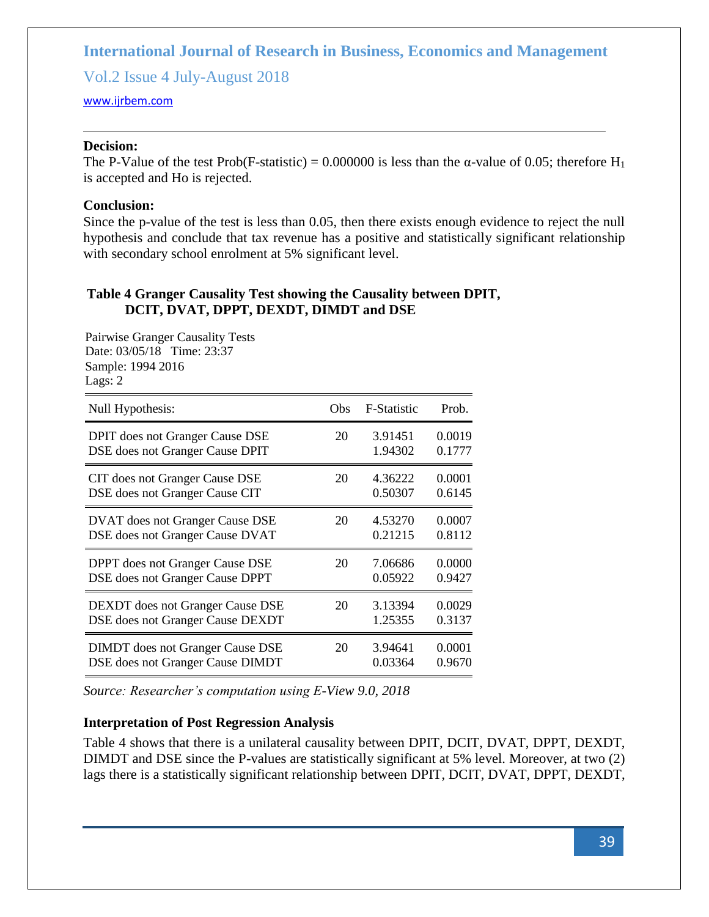Vol.2 Issue 4 July-August 2018

#### <www.ijrbem.com>

### **Decision:**

The P-Value of the test Prob(F-statistic) = 0.000000 is less than the  $\alpha$ -value of 0.05; therefore H<sub>1</sub> is accepted and Ho is rejected.

### **Conclusion:**

Since the p-value of the test is less than 0.05, then there exists enough evidence to reject the null hypothesis and conclude that tax revenue has a positive and statistically significant relationship with secondary school enrolment at 5% significant level.

### **Table 4 Granger Causality Test showing the Causality between DPIT, DCIT, DVAT, DPPT, DEXDT, DIMDT and DSE**

Pairwise Granger Causality Tests Date: 03/05/18 Time: 23:37 Sample: 1994 2016 Lags: 2

| Null Hypothesis:                        | Obs | <b>F-Statistic</b> | Prob.  |
|-----------------------------------------|-----|--------------------|--------|
| <b>DPIT</b> does not Granger Cause DSE  | 20  | 3.91451            | 0.0019 |
| DSE does not Granger Cause DPIT         |     | 1.94302            | 0.1777 |
| CIT does not Granger Cause DSE          | 20  | 4.36222            | 0.0001 |
| DSE does not Granger Cause CIT          |     | 0.50307            | 0.6145 |
| DVAT does not Granger Cause DSE         | 20  | 4.53270            | 0.0007 |
| DSE does not Granger Cause DVAT         |     | 0.21215            | 0.8112 |
| DPPT does not Granger Cause DSE         | 20  | 7.06686            | 0.0000 |
| DSE does not Granger Cause DPPT         |     | 0.05922            | 0.9427 |
| DEXDT does not Granger Cause DSE        | 20  | 3.13394            | 0.0029 |
| DSE does not Granger Cause DEXDT        |     | 1.25355            | 0.3137 |
| <b>DIMDT</b> does not Granger Cause DSE | 20  | 3.94641            | 0.0001 |
| DSE does not Granger Cause DIMDT        |     | 0.03364            | 0.9670 |

*Source: Researcher's computation using E-View 9.0, 2018*

# **Interpretation of Post Regression Analysis**

Table 4 shows that there is a unilateral causality between DPIT, DCIT, DVAT, DPPT, DEXDT, DIMDT and DSE since the P-values are statistically significant at 5% level. Moreover, at two (2) lags there is a statistically significant relationship between DPIT, DCIT, DVAT, DPPT, DEXDT,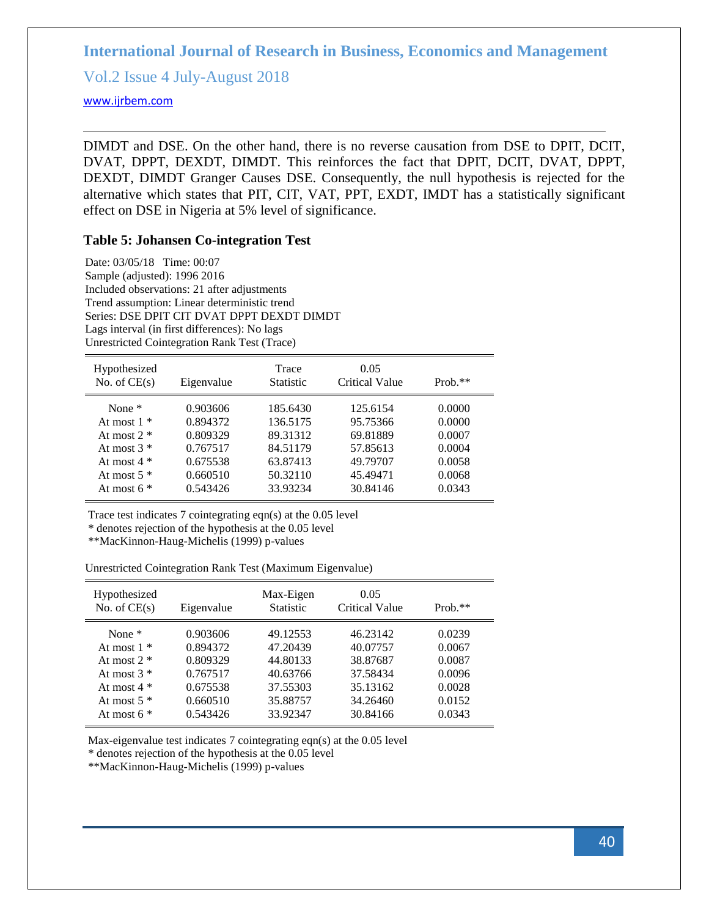Vol.2 Issue 4 July-August 2018

<www.ijrbem.com>

DIMDT and DSE. On the other hand, there is no reverse causation from DSE to DPIT, DCIT, DVAT, DPPT, DEXDT, DIMDT. This reinforces the fact that DPIT, DCIT, DVAT, DPPT, DEXDT, DIMDT Granger Causes DSE. Consequently, the null hypothesis is rejected for the alternative which states that PIT, CIT, VAT, PPT, EXDT, IMDT has a statistically significant effect on DSE in Nigeria at 5% level of significance.

#### **Table 5: Johansen Co-integration Test**

Date: 03/05/18 Time: 00:07 Sample (adjusted): 1996 2016 Included observations: 21 after adjustments Trend assumption: Linear deterministic trend Series: DSE DPIT CIT DVAT DPPT DEXDT DIMDT Lags interval (in first differences): No lags Unrestricted Cointegration Rank Test (Trace)

| Hypothesized<br>No. of $CE(s)$ | Eigenvalue | Trace<br><b>Statistic</b> | 0.05<br>Critical Value | $Prob.**$ |
|--------------------------------|------------|---------------------------|------------------------|-----------|
| None $*$                       | 0.903606   | 185.6430                  | 125.6154               | 0.0000    |
| At most $1 *$                  | 0.894372   | 136.5175                  | 95.75366               | 0.0000    |
| At most $2 *$                  | 0.809329   | 89.31312                  | 69.81889               | 0.0007    |
| At most $3 *$                  | 0.767517   | 84.51179                  | 57.85613               | 0.0004    |
| At most $4 *$                  | 0.675538   | 63.87413                  | 49.79707               | 0.0058    |
| At most $5 *$                  | 0.660510   | 50.32110                  | 45.49471               | 0.0068    |
| At most $6*$                   | 0.543426   | 33.93234                  | 30.84146               | 0.0343    |

Trace test indicates 7 cointegrating eqn(s) at the 0.05 level

\* denotes rejection of the hypothesis at the 0.05 level

\*\*MacKinnon-Haug-Michelis (1999) p-values

Unrestricted Cointegration Rank Test (Maximum Eigenvalue)

| Hypothesized<br>No. of $CE(s)$                                                                | Eigenvalue                                                           | Max-Eigen<br><b>Statistic</b>                                        | 0.05<br><b>Critical Value</b>                                        | $Prob.**$                                                |
|-----------------------------------------------------------------------------------------------|----------------------------------------------------------------------|----------------------------------------------------------------------|----------------------------------------------------------------------|----------------------------------------------------------|
| None $*$<br>At most $1 *$<br>At most $2 *$<br>At most $3 *$<br>At most $4 *$<br>At most $5 *$ | 0.903606<br>0.894372<br>0.809329<br>0.767517<br>0.675538<br>0.660510 | 49.12553<br>47.20439<br>44.80133<br>40.63766<br>37.55303<br>35.88757 | 46.23142<br>40.07757<br>38.87687<br>37.58434<br>35.13162<br>34.26460 | 0.0239<br>0.0067<br>0.0087<br>0.0096<br>0.0028<br>0.0152 |
| At most $6*$                                                                                  | 0.543426                                                             | 33.92347                                                             | 30.84166                                                             | 0.0343                                                   |

Max-eigenvalue test indicates 7 cointegrating eqn(s) at the 0.05 level

\* denotes rejection of the hypothesis at the 0.05 level

\*\*MacKinnon-Haug-Michelis (1999) p-values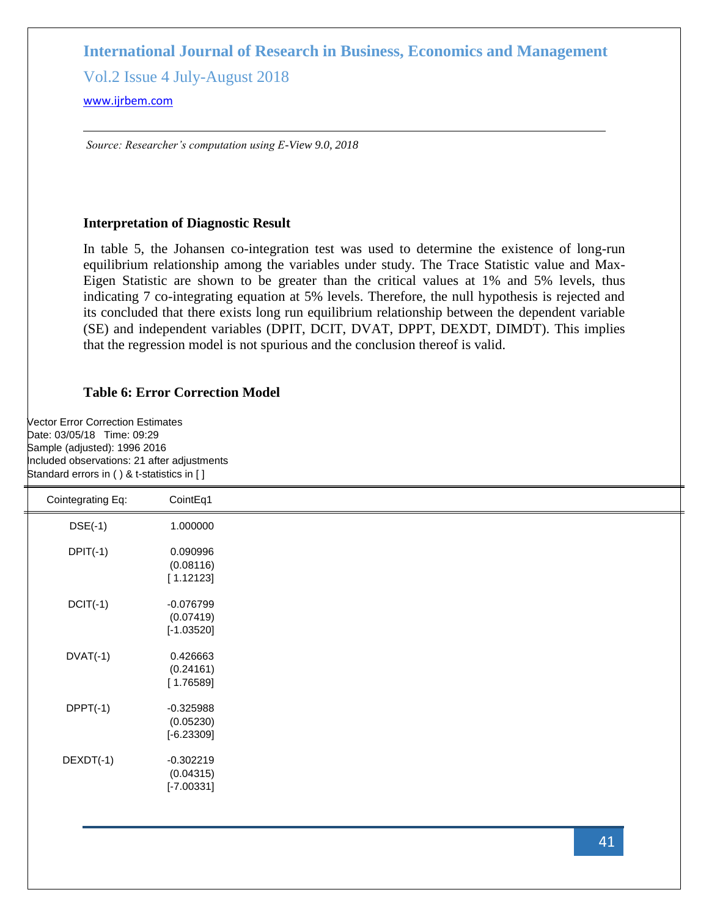Vol.2 Issue 4 July-August 2018

#### <www.ijrbem.com>

*Source: Researcher's computation using E-View 9.0, 2018*

#### **Interpretation of Diagnostic Result**

In table 5, the Johansen co-integration test was used to determine the existence of long-run equilibrium relationship among the variables under study. The Trace Statistic value and Max-Eigen Statistic are shown to be greater than the critical values at 1% and 5% levels, thus indicating 7 co-integrating equation at 5% levels. Therefore, the null hypothesis is rejected and its concluded that there exists long run equilibrium relationship between the dependent variable (SE) and independent variables (DPIT, DCIT, DVAT, DPPT, DEXDT, DIMDT). This implies that the regression model is not spurious and the conclusion thereof is valid.

# **Table 6: Error Correction Model**

Vector Error Correction Estimates Date: 03/05/18 Time: 09:29 Sample (adjusted): 1996 2016 Included observations: 21 after adjustments Standard errors in ( ) & t-statistics in [ ]

| Cointegrating Eq: | CointEq1     |
|-------------------|--------------|
| $DSE(-1)$         | 1.000000     |
| $DPIT(-1)$        | 0.090996     |
|                   | (0.08116)    |
|                   | [1.12123]    |
| $DCIT(-1)$        | $-0.076799$  |
|                   | (0.07419)    |
|                   | $[-1.03520]$ |
| $DVAT(-1)$        | 0.426663     |
|                   | (0.24161)    |
|                   | [1.76589]    |
| $DPPT(-1)$        | $-0.325988$  |
|                   | (0.05230)    |
|                   | $[-6.23309]$ |
| $DEXDT(-1)$       | $-0.302219$  |
|                   | (0.04315)    |
|                   | $[-7.00331]$ |
|                   |              |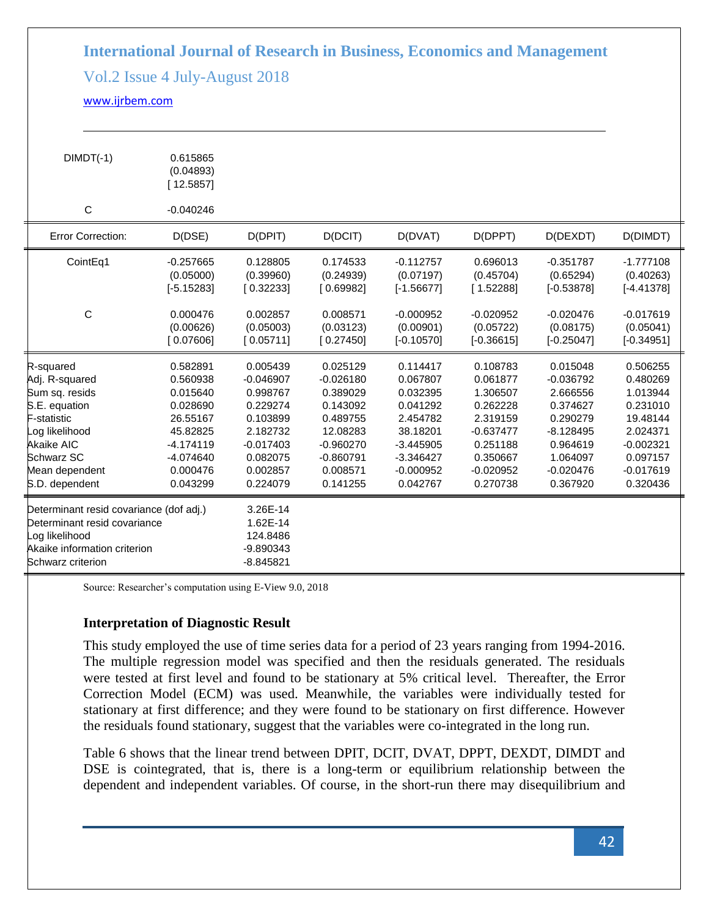# Vol.2 Issue 4 July-August 2018

### <www.ijrbem.com>

| $DIMDT(-1)$                                                                                                                                                           | 0.615865<br>(0.04893)<br>[12.5857]                                                                                         |                                                                                                                            |                                                                                                                               |                                                                                                                               |                                                                                                                            |                                                                                                                               |                                                                                                                            |
|-----------------------------------------------------------------------------------------------------------------------------------------------------------------------|----------------------------------------------------------------------------------------------------------------------------|----------------------------------------------------------------------------------------------------------------------------|-------------------------------------------------------------------------------------------------------------------------------|-------------------------------------------------------------------------------------------------------------------------------|----------------------------------------------------------------------------------------------------------------------------|-------------------------------------------------------------------------------------------------------------------------------|----------------------------------------------------------------------------------------------------------------------------|
| $\mathsf C$                                                                                                                                                           | $-0.040246$                                                                                                                |                                                                                                                            |                                                                                                                               |                                                                                                                               |                                                                                                                            |                                                                                                                               |                                                                                                                            |
| <b>Error Correction:</b>                                                                                                                                              | D(DSE)                                                                                                                     | D(DPIT)                                                                                                                    | D(DCIT)                                                                                                                       | D(DVAT)                                                                                                                       | D(DPPT)                                                                                                                    | D(DEXDT)                                                                                                                      | D(DIMDT)                                                                                                                   |
| CointEq1                                                                                                                                                              | $-0.257665$<br>(0.05000)<br>$[-5.15283]$                                                                                   | 0.128805<br>(0.39960)<br>[0.32233]                                                                                         | 0.174533<br>(0.24939)<br>[0.69982]                                                                                            | $-0.112757$<br>(0.07197)<br>$[-1.56677]$                                                                                      | 0.696013<br>(0.45704)<br>[1.52288]                                                                                         | $-0.351787$<br>(0.65294)<br>$[-0.53878]$                                                                                      | $-1.777108$<br>(0.40263)<br>$[-4.41378]$                                                                                   |
| C                                                                                                                                                                     | 0.000476<br>(0.00626)<br>[0.07606]                                                                                         | 0.002857<br>(0.05003)<br>[0.05711]                                                                                         | 0.008571<br>(0.03123)<br>[0.27450]                                                                                            | $-0.000952$<br>(0.00901)<br>$[-0.10570]$                                                                                      | $-0.020952$<br>(0.05722)<br>$[-0.36615]$                                                                                   | $-0.020476$<br>(0.08175)<br>$[-0.25047]$                                                                                      | $-0.017619$<br>(0.05041)<br>$[-0.34951]$                                                                                   |
| R-squared<br>Adj. R-squared<br>Sum sq. resids<br>S.E. equation<br>F-statistic<br>og likelihood<br><b>Akaike AIC</b><br>Schwarz SC<br>Mean dependent<br>S.D. dependent | 0.582891<br>0.560938<br>0.015640<br>0.028690<br>26.55167<br>45.82825<br>$-4.174119$<br>$-4.074640$<br>0.000476<br>0.043299 | 0.005439<br>$-0.046907$<br>0.998767<br>0.229274<br>0.103899<br>2.182732<br>$-0.017403$<br>0.082075<br>0.002857<br>0.224079 | 0.025129<br>$-0.026180$<br>0.389029<br>0.143092<br>0.489755<br>12.08283<br>$-0.960270$<br>$-0.860791$<br>0.008571<br>0.141255 | 0.114417<br>0.067807<br>0.032395<br>0.041292<br>2.454782<br>38.18201<br>$-3.445905$<br>$-3.346427$<br>$-0.000952$<br>0.042767 | 0.108783<br>0.061877<br>1.306507<br>0.262228<br>2.319159<br>$-0.637477$<br>0.251188<br>0.350667<br>$-0.020952$<br>0.270738 | 0.015048<br>$-0.036792$<br>2.666556<br>0.374627<br>0.290279<br>$-8.128495$<br>0.964619<br>1.064097<br>$-0.020476$<br>0.367920 | 0.506255<br>0.480269<br>1.013944<br>0.231010<br>19.48144<br>2.024371<br>$-0.002321$<br>0.097157<br>$-0.017619$<br>0.320436 |
| Determinant resid covariance (dof adj.)<br>Determinant resid covariance<br>og likelihood<br>Akaike information criterion<br>Schwarz criterion                         |                                                                                                                            | 3.26E-14<br>1.62E-14<br>124.8486<br>$-9.890343$<br>$-8.845821$                                                             |                                                                                                                               |                                                                                                                               |                                                                                                                            |                                                                                                                               |                                                                                                                            |

Source: Researcher's computation using E-View 9.0, 2018

### **Interpretation of Diagnostic Result**

This study employed the use of time series data for a period of 23 years ranging from 1994-2016. The multiple regression model was specified and then the residuals generated. The residuals were tested at first level and found to be stationary at 5% critical level. Thereafter, the Error Correction Model (ECM) was used. Meanwhile, the variables were individually tested for stationary at first difference; and they were found to be stationary on first difference. However the residuals found stationary, suggest that the variables were co-integrated in the long run.

Table 6 shows that the linear trend between DPIT, DCIT, DVAT, DPPT, DEXDT, DIMDT and DSE is cointegrated, that is, there is a long-term or equilibrium relationship between the dependent and independent variables. Of course, in the short-run there may disequilibrium and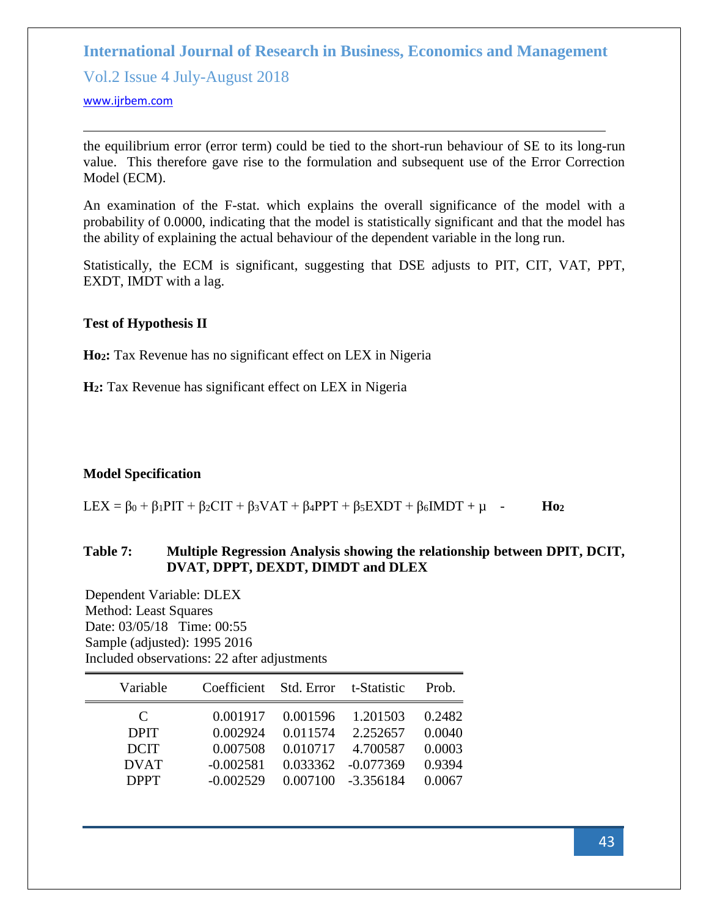Vol.2 Issue 4 July-August 2018

#### <www.ijrbem.com>

the equilibrium error (error term) could be tied to the short-run behaviour of SE to its long-run value. This therefore gave rise to the formulation and subsequent use of the Error Correction Model (ECM).

An examination of the F-stat. which explains the overall significance of the model with a probability of 0.0000, indicating that the model is statistically significant and that the model has the ability of explaining the actual behaviour of the dependent variable in the long run.

Statistically, the ECM is significant, suggesting that DSE adjusts to PIT, CIT, VAT, PPT, EXDT, IMDT with a lag.

# **Test of Hypothesis II**

**Ho2:** Tax Revenue has no significant effect on LEX in Nigeria

**H2:** Tax Revenue has significant effect on LEX in Nigeria

# **Model Specification**

LEX =  $\beta_0$  +  $\beta_1$ PIT +  $\beta_2$ CIT +  $\beta_3$ VAT +  $\beta_4$ PPT +  $\beta_5$ EXDT +  $\beta_6$ IMDT +  $\mu$  - **Ho**<sub>2</sub>

# **Table 7: Multiple Regression Analysis showing the relationship between DPIT, DCIT, DVAT, DPPT, DEXDT, DIMDT and DLEX**

Dependent Variable: DLEX Method: Least Squares Date: 03/05/18 Time: 00:55 Sample (adjusted): 1995 2016 Included observations: 22 after adjustments

| Variable    | Coefficient | Std. Error t-Statistic |             | Prob.  |
|-------------|-------------|------------------------|-------------|--------|
| C           | 0.001917    | 0.001596               | 1.201503    | 0.2482 |
| <b>DPIT</b> | 0.002924    | 0.011574               | 2.252657    | 0.0040 |
| <b>DCIT</b> | 0.007508    | 0.010717               | 4.700587    | 0.0003 |
| <b>DVAT</b> | $-0.002581$ | 0.033362               | $-0.077369$ | 0.9394 |
| <b>DPPT</b> | $-0.002529$ | 0.007100               | -3.356184   | 0.0067 |
|             |             |                        |             |        |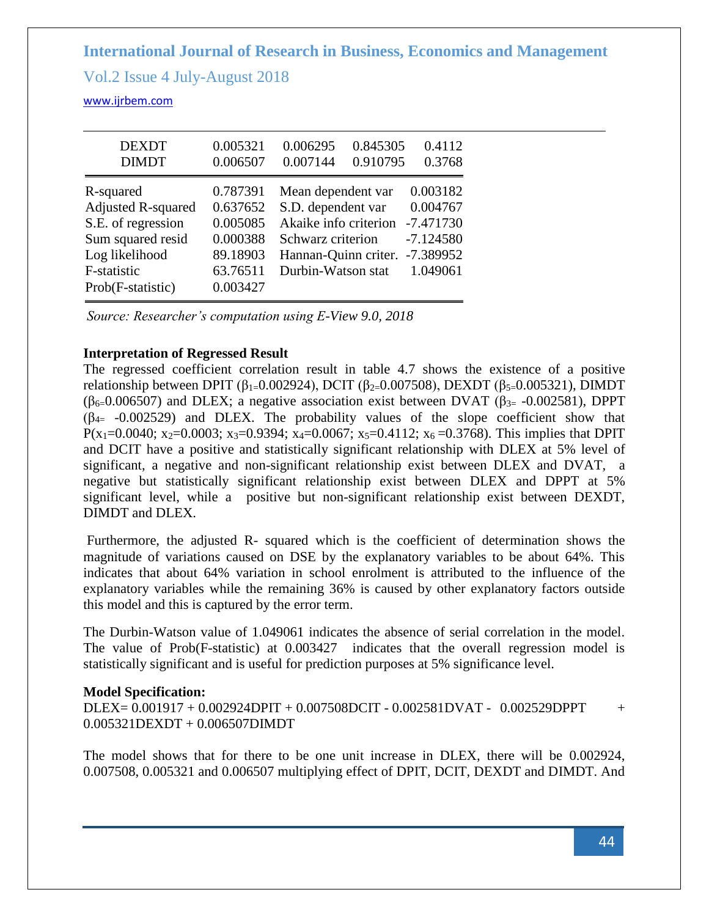Vol.2 Issue 4 July-August 2018

<www.ijrbem.com>

| <b>DEXDT</b><br><b>DIMDT</b>                                                                                                            | 0.005321<br>0.006507                                                             | 0.006295<br>0.845305<br>0.007144<br>0.910795                                                                                         | 0.4112<br>0.3768                                                              |
|-----------------------------------------------------------------------------------------------------------------------------------------|----------------------------------------------------------------------------------|--------------------------------------------------------------------------------------------------------------------------------------|-------------------------------------------------------------------------------|
| R-squared<br><b>Adjusted R-squared</b><br>S.E. of regression<br>Sum squared resid<br>Log likelihood<br>F-statistic<br>Prob(F-statistic) | 0.787391<br>0.637652<br>0.005085<br>0.000388<br>89.18903<br>63.76511<br>0.003427 | Mean dependent var<br>S.D. dependent var<br>Akaike info criterion<br>Schwarz criterion<br>Hannan-Quinn criter.<br>Durbin-Watson stat | 0.003182<br>0.004767<br>$-7.471730$<br>$-7.124580$<br>$-7.389952$<br>1.049061 |

*Source: Researcher's computation using E-View 9.0, 2018*

# **Interpretation of Regressed Result**

The regressed coefficient correlation result in table 4.7 shows the existence of a positive relationship between DPIT (β<sub>1=</sub>0.002924), DCIT (β<sub>2=</sub>0.007508), DEXDT (β<sub>5=</sub>0.005321), DIMDT (β<sub>6=</sub>0.006507) and DLEX; a negative association exist between DVAT (β<sub>3=</sub> -0.002581), DPPT  $(\beta_{4} = -0.002529)$  and DLEX. The probability values of the slope coefficient show that P(x<sub>1</sub>=0.0040; x<sub>2</sub>=0.0003; x<sub>3</sub>=0.9394; x<sub>4</sub>=0.0067; x<sub>5</sub>=0.4112; x<sub>6</sub> =0.3768). This implies that DPIT and DCIT have a positive and statistically significant relationship with DLEX at 5% level of significant, a negative and non-significant relationship exist between DLEX and DVAT, a negative but statistically significant relationship exist between DLEX and DPPT at 5% significant level, while a positive but non-significant relationship exist between DEXDT, DIMDT and DLEX.

Furthermore, the adjusted R- squared which is the coefficient of determination shows the magnitude of variations caused on DSE by the explanatory variables to be about 64%. This indicates that about 64% variation in school enrolment is attributed to the influence of the explanatory variables while the remaining 36% is caused by other explanatory factors outside this model and this is captured by the error term.

The Durbin-Watson value of 1.049061 indicates the absence of serial correlation in the model. The value of Prob(F-statistic) at 0.003427 indicates that the overall regression model is statistically significant and is useful for prediction purposes at 5% significance level.

### **Model Specification:**

 $DLEX = 0.001917 + 0.002924DPIT + 0.007508DCIT - 0.002581DVAT - 0.002529DPPT +$ 0.005321DEXDT + 0.006507DIMDT

The model shows that for there to be one unit increase in DLEX, there will be 0.002924, 0.007508, 0.005321 and 0.006507 multiplying effect of DPIT, DCIT, DEXDT and DIMDT. And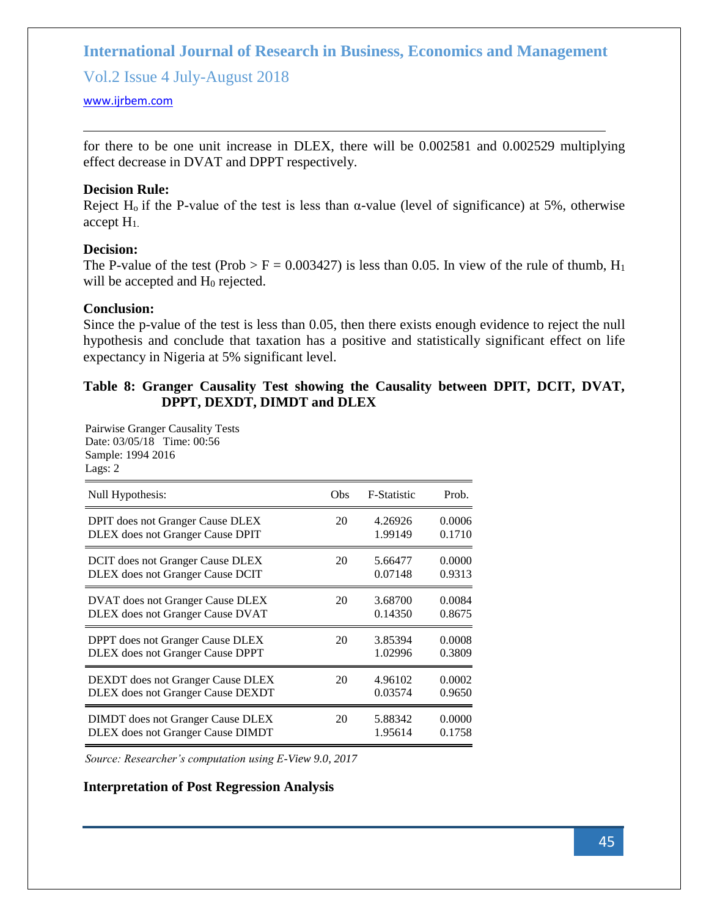Vol.2 Issue 4 July-August 2018

#### <www.ijrbem.com>

for there to be one unit increase in DLEX, there will be 0.002581 and 0.002529 multiplying effect decrease in DVAT and DPPT respectively.

#### **Decision Rule:**

Reject H<sub>0</sub> if the P-value of the test is less than  $\alpha$ -value (level of significance) at 5%, otherwise accept H1.

### **Decision:**

The P-value of the test (Prob > F = 0.003427) is less than 0.05. In view of the rule of thumb,  $H_1$ will be accepted and  $H_0$  rejected.

### **Conclusion:**

Since the p-value of the test is less than 0.05, then there exists enough evidence to reject the null hypothesis and conclude that taxation has a positive and statistically significant effect on life expectancy in Nigeria at 5% significant level.

# **Table 8: Granger Causality Test showing the Causality between DPIT, DCIT, DVAT, DPPT, DEXDT, DIMDT and DLEX**

Pairwise Granger Causality Tests Date: 03/05/18 Time: 00:56 Sample: 1994 2016 Lags: 2

| Null Hypothesis:                         | Obs | <b>F-Statistic</b> | Prob.  |
|------------------------------------------|-----|--------------------|--------|
| DPIT does not Granger Cause DLEX         | 20  | 4.26926            | 0.0006 |
| DLEX does not Granger Cause DPIT         |     | 1.99149            | 0.1710 |
| DCIT does not Granger Cause DLEX         | 20  | 5.66477            | 0.0000 |
| DLEX does not Granger Cause DCIT         |     | 0.07148            | 0.9313 |
| <b>DVAT</b> does not Granger Cause DLEX  | 20  | 3.68700            | 0.0084 |
| <b>DLEX</b> does not Granger Cause DVAT  |     | 0.14350            | 0.8675 |
| <b>DPPT</b> does not Granger Cause DLEX  | 20  | 3.85394            | 0.0008 |
| <b>DLEX</b> does not Granger Cause DPPT  |     | 1.02996            | 0.3809 |
| <b>DEXDT</b> does not Granger Cause DLEX | 20  | 4.96102            | 0.0002 |
| <b>DLEX</b> does not Granger Cause DEXDT |     | 0.03574            | 0.9650 |
| <b>DIMDT</b> does not Granger Cause DLEX | 20  | 5.88342            | 0.0000 |
| <b>DLEX</b> does not Granger Cause DIMDT |     | 1.95614            | 0.1758 |

*Source: Researcher's computation using E-View 9.0, 2017*

### **Interpretation of Post Regression Analysis**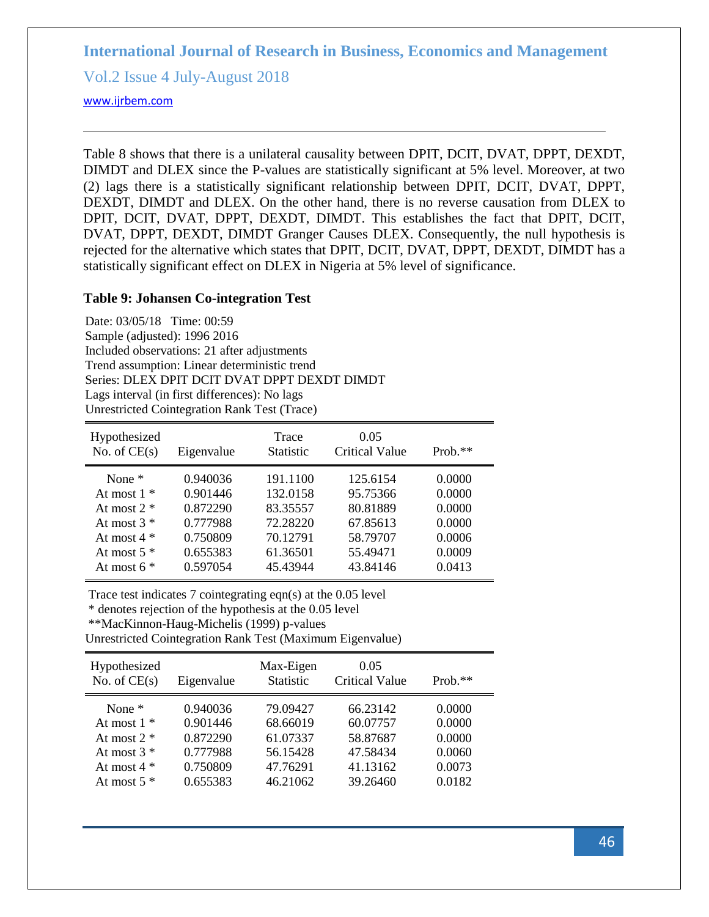Vol.2 Issue 4 July-August 2018

#### <www.ijrbem.com>

Table 8 shows that there is a unilateral causality between DPIT, DCIT, DVAT, DPPT, DEXDT, DIMDT and DLEX since the P-values are statistically significant at 5% level. Moreover, at two (2) lags there is a statistically significant relationship between DPIT, DCIT, DVAT, DPPT, DEXDT, DIMDT and DLEX. On the other hand, there is no reverse causation from DLEX to DPIT, DCIT, DVAT, DPPT, DEXDT, DIMDT. This establishes the fact that DPIT, DCIT, DVAT, DPPT, DEXDT, DIMDT Granger Causes DLEX. Consequently, the null hypothesis is rejected for the alternative which states that DPIT, DCIT, DVAT, DPPT, DEXDT, DIMDT has a statistically significant effect on DLEX in Nigeria at 5% level of significance.

#### **Table 9: Johansen Co-integration Test**

Date: 03/05/18 Time: 00:59 Sample (adjusted): 1996 2016 Included observations: 21 after adjustments Trend assumption: Linear deterministic trend Series: DLEX DPIT DCIT DVAT DPPT DEXDT DIMDT Lags interval (in first differences): No lags Unrestricted Cointegration Rank Test (Trace)

| Hypothesized<br>No. of $CE(s)$ | Eigenvalue | Trace<br><b>Statistic</b> | 0.05<br>Critical Value | $Prob.**$ |
|--------------------------------|------------|---------------------------|------------------------|-----------|
| None $*$                       | 0.940036   | 191.1100                  | 125.6154               | 0.0000    |
| At most $1 *$                  | 0.901446   | 132.0158                  | 95.75366               | 0.0000    |
| At most $2 *$                  | 0.872290   | 83.35557                  | 80.81889               | 0.0000    |
| At most $3 *$                  | 0.777988   | 72.28220                  | 67.85613               | 0.0000    |
| At most $4 *$                  | 0.750809   | 70.12791                  | 58.79707               | 0.0006    |
| At most $5$ $*$                | 0.655383   | 61.36501                  | 55.49471               | 0.0009    |
| At most $6 *$                  | 0.597054   | 45.43944                  | 43.84146               | 0.0413    |

Trace test indicates 7 cointegrating eqn(s) at the 0.05 level

\* denotes rejection of the hypothesis at the 0.05 level

\*\*MacKinnon-Haug-Michelis (1999) p-values

Unrestricted Cointegration Rank Test (Maximum Eigenvalue)

| Hypothesized<br>No. of $CE(s)$ | Eigenvalue | Max-Eigen<br><b>Statistic</b> | 0.05<br><b>Critical Value</b> | $Prob.**$ |  |
|--------------------------------|------------|-------------------------------|-------------------------------|-----------|--|
| None $*$                       | 0.940036   | 79.09427                      | 66.23142                      | 0.0000    |  |
| At most $1 *$                  | 0.901446   | 68.66019                      | 60.07757                      | 0.0000    |  |
| At most $2$ $*$                | 0.872290   | 61.07337                      | 58.87687                      | 0.0000    |  |
| At most $3$ *                  | 0.777988   | 56.15428                      | 47.58434                      | 0.0060    |  |
| At most $4 *$                  | 0.750809   | 47.76291                      | 41.13162                      | 0.0073    |  |
| At most $5$ $*$                | 0.655383   | 46.21062                      | 39.26460                      | 0.0182    |  |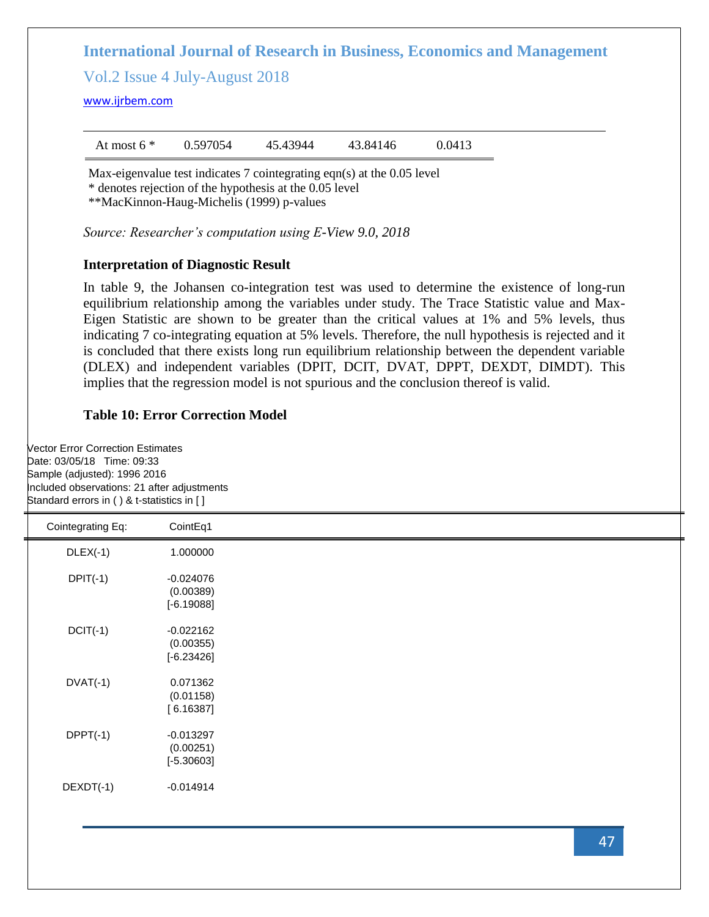Vol.2 Issue 4 July-August 2018

<www.ijrbem.com>

| At most $6 *$ | 0.597054 | 45.43944 | 43.84146 | 0.0413 |
|---------------|----------|----------|----------|--------|
|               |          |          |          |        |

Max-eigenvalue test indicates 7 cointegrating eqn(s) at the 0.05 level \* denotes rejection of the hypothesis at the 0.05 level

\*\*MacKinnon-Haug-Michelis (1999) p-values

*Source: Researcher's computation using E-View 9.0, 2018*

#### **Interpretation of Diagnostic Result**

In table 9, the Johansen co-integration test was used to determine the existence of long-run equilibrium relationship among the variables under study. The Trace Statistic value and Max-Eigen Statistic are shown to be greater than the critical values at 1% and 5% levels, thus indicating 7 co-integrating equation at 5% levels. Therefore, the null hypothesis is rejected and it is concluded that there exists long run equilibrium relationship between the dependent variable (DLEX) and independent variables (DPIT, DCIT, DVAT, DPPT, DEXDT, DIMDT). This implies that the regression model is not spurious and the conclusion thereof is valid.

### **Table 10: Error Correction Model**

Vector Error Correction Estimates Date: 03/05/18 Time: 09:33 Sample (adjusted): 1996 2016 Included observations: 21 after adjustments Standard errors in ( ) & t-statistics in [ ]

| Cointegrating Eq: | CointEq1     |  |
|-------------------|--------------|--|
| $DLEX(-1)$        | 1.000000     |  |
| $DPIT(-1)$        | $-0.024076$  |  |
|                   | (0.00389)    |  |
|                   | $[-6.19088]$ |  |
| $DCIT(-1)$        | $-0.022162$  |  |
|                   | (0.00355)    |  |
|                   | $[-6.23426]$ |  |
| $DVAT(-1)$        | 0.071362     |  |
|                   | (0.01158)    |  |
|                   | [6.16387]    |  |
| $DPPT(-1)$        | $-0.013297$  |  |
|                   | (0.00251)    |  |
|                   | $[-5.30603]$ |  |
| $DEXDT(-1)$       | $-0.014914$  |  |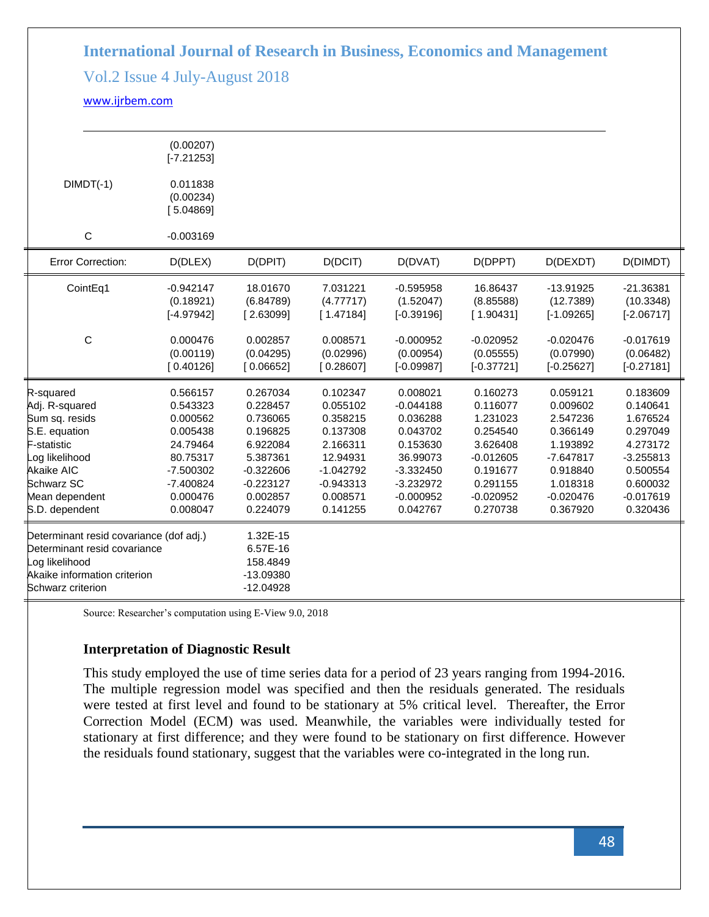# Vol.2 Issue 4 July-August 2018

### <www.ijrbem.com>

|                                                                                                                                                                        | (0.00207)<br>$[-7.21253]$                                                                                                  |                                                                                                                            |                                                                                                                            |                                                                                                                                  |                                                                                                                            |                                                                                                                            |                                                                                                                            |
|------------------------------------------------------------------------------------------------------------------------------------------------------------------------|----------------------------------------------------------------------------------------------------------------------------|----------------------------------------------------------------------------------------------------------------------------|----------------------------------------------------------------------------------------------------------------------------|----------------------------------------------------------------------------------------------------------------------------------|----------------------------------------------------------------------------------------------------------------------------|----------------------------------------------------------------------------------------------------------------------------|----------------------------------------------------------------------------------------------------------------------------|
| $DIMDT(-1)$                                                                                                                                                            | 0.011838<br>(0.00234)<br>[5.04869]                                                                                         |                                                                                                                            |                                                                                                                            |                                                                                                                                  |                                                                                                                            |                                                                                                                            |                                                                                                                            |
| C                                                                                                                                                                      | $-0.003169$                                                                                                                |                                                                                                                            |                                                                                                                            |                                                                                                                                  |                                                                                                                            |                                                                                                                            |                                                                                                                            |
| <b>Error Correction:</b>                                                                                                                                               | D(DLEX)                                                                                                                    | D(DPIT)                                                                                                                    | D(DCIT)                                                                                                                    | D(DVAT)                                                                                                                          | D(DPPT)                                                                                                                    | D(DEXDT)                                                                                                                   | D(DIMDT)                                                                                                                   |
| CointEq1                                                                                                                                                               | $-0.942147$<br>(0.18921)<br>$[-4.97942]$                                                                                   | 18.01670<br>(6.84789)<br>[2.63099]                                                                                         | 7.031221<br>(4.77717)<br>[1.47184]                                                                                         | $-0.595958$<br>(1.52047)<br>$[-0.39196]$                                                                                         | 16.86437<br>(8.85588)<br>[1.90431]                                                                                         | $-13.91925$<br>(12.7389)<br>$[-1.09265]$                                                                                   | $-21.36381$<br>(10.3348)<br>$[-2.06717]$                                                                                   |
| $\mathsf C$                                                                                                                                                            | 0.000476<br>(0.00119)<br>[0.40126]                                                                                         | 0.002857<br>(0.04295)<br>[0.06652]                                                                                         | 0.008571<br>(0.02996)<br>[0.28607]                                                                                         | $-0.000952$<br>(0.00954)<br>$[-0.09987]$                                                                                         | $-0.020952$<br>(0.05555)<br>$[-0.37721]$                                                                                   | $-0.020476$<br>(0.07990)<br>$[-0.25627]$                                                                                   | $-0.017619$<br>(0.06482)<br>$[-0.27181]$                                                                                   |
| R-squared<br>Adj. R-squared<br>Sum sq. resids<br>S.E. equation<br>F-statistic<br>Log likelihood<br><b>Akaike AIC</b><br>Schwarz SC<br>Mean dependent<br>S.D. dependent | 0.566157<br>0.543323<br>0.000562<br>0.005438<br>24.79464<br>80.75317<br>$-7.500302$<br>$-7.400824$<br>0.000476<br>0.008047 | 0.267034<br>0.228457<br>0.736065<br>0.196825<br>6.922084<br>5.387361<br>$-0.322606$<br>$-0.223127$<br>0.002857<br>0.224079 | 0.102347<br>0.055102<br>0.358215<br>0.137308<br>2.166311<br>12.94931<br>$-1.042792$<br>$-0.943313$<br>0.008571<br>0.141255 | 0.008021<br>$-0.044188$<br>0.036288<br>0.043702<br>0.153630<br>36.99073<br>$-3.332450$<br>$-3.232972$<br>$-0.000952$<br>0.042767 | 0.160273<br>0.116077<br>1.231023<br>0.254540<br>3.626408<br>$-0.012605$<br>0.191677<br>0.291155<br>$-0.020952$<br>0.270738 | 0.059121<br>0.009602<br>2.547236<br>0.366149<br>1.193892<br>$-7.647817$<br>0.918840<br>1.018318<br>$-0.020476$<br>0.367920 | 0.183609<br>0.140641<br>1.676524<br>0.297049<br>4.273172<br>$-3.255813$<br>0.500554<br>0.600032<br>$-0.017619$<br>0.320436 |
| Determinant resid covariance (dof adj.)<br>Determinant resid covariance<br>Log likelihood<br>Akaike information criterion<br>Schwarz criterion                         |                                                                                                                            | 1.32E-15<br>6.57E-16<br>158.4849<br>-13.09380<br>$-12.04928$                                                               |                                                                                                                            |                                                                                                                                  |                                                                                                                            |                                                                                                                            |                                                                                                                            |

Source: Researcher's computation using E-View 9.0, 2018

### **Interpretation of Diagnostic Result**

This study employed the use of time series data for a period of 23 years ranging from 1994-2016. The multiple regression model was specified and then the residuals generated. The residuals were tested at first level and found to be stationary at 5% critical level. Thereafter, the Error Correction Model (ECM) was used. Meanwhile, the variables were individually tested for stationary at first difference; and they were found to be stationary on first difference. However the residuals found stationary, suggest that the variables were co-integrated in the long run.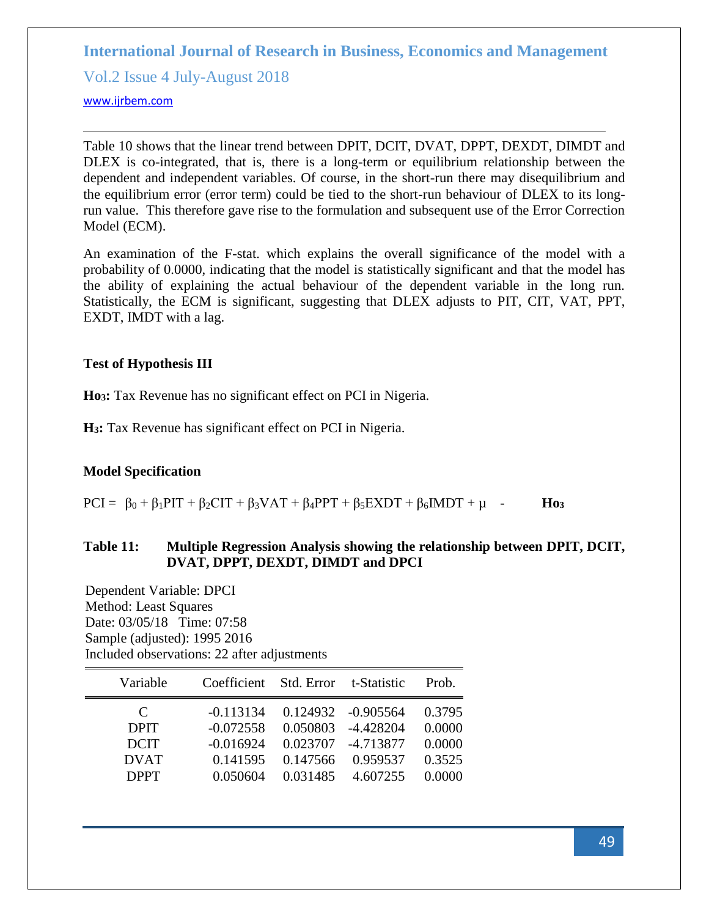Vol.2 Issue 4 July-August 2018

#### <www.ijrbem.com>

Table 10 shows that the linear trend between DPIT, DCIT, DVAT, DPPT, DEXDT, DIMDT and DLEX is co-integrated, that is, there is a long-term or equilibrium relationship between the dependent and independent variables. Of course, in the short-run there may disequilibrium and the equilibrium error (error term) could be tied to the short-run behaviour of DLEX to its longrun value. This therefore gave rise to the formulation and subsequent use of the Error Correction Model (ECM).

An examination of the F-stat. which explains the overall significance of the model with a probability of 0.0000, indicating that the model is statistically significant and that the model has the ability of explaining the actual behaviour of the dependent variable in the long run. Statistically, the ECM is significant, suggesting that DLEX adjusts to PIT, CIT, VAT, PPT, EXDT, IMDT with a lag.

# **Test of Hypothesis III**

**Ho3:** Tax Revenue has no significant effect on PCI in Nigeria.

**H3:** Tax Revenue has significant effect on PCI in Nigeria.

### **Model Specification**

 $PCI = \beta_0 + \beta_1PIT + \beta_2CIT + \beta_3VAT + \beta_4PPT + \beta_5EXDT + \beta_6IMDT + \mu$  - **Ho**<sub>3</sub>

# **Table 11: Multiple Regression Analysis showing the relationship between DPIT, DCIT, DVAT, DPPT, DEXDT, DIMDT and DPCI**

Dependent Variable: DPCI Method: Least Squares Date: 03/05/18 Time: 07:58 Sample (adjusted): 1995 2016 Included observations: 22 after adjustments

| Variable    | Coefficient | Std. Error t-Statistic |                    | Prob.  |
|-------------|-------------|------------------------|--------------------|--------|
| C           | $-0.113134$ |                        | 0.124932 -0.905564 | 0.3795 |
| <b>DPIT</b> | $-0.072558$ | 0.050803               | $-4.428204$        | 0.0000 |
| <b>DCIT</b> | $-0.016924$ | 0.023707               | -4.713877          | 0.0000 |
| <b>DVAT</b> | 0.141595    | 0.147566               | 0.959537           | 0.3525 |
| <b>DPPT</b> | 0.050604    | 0.031485               | 4.607255           | 0.0000 |
|             |             |                        |                    |        |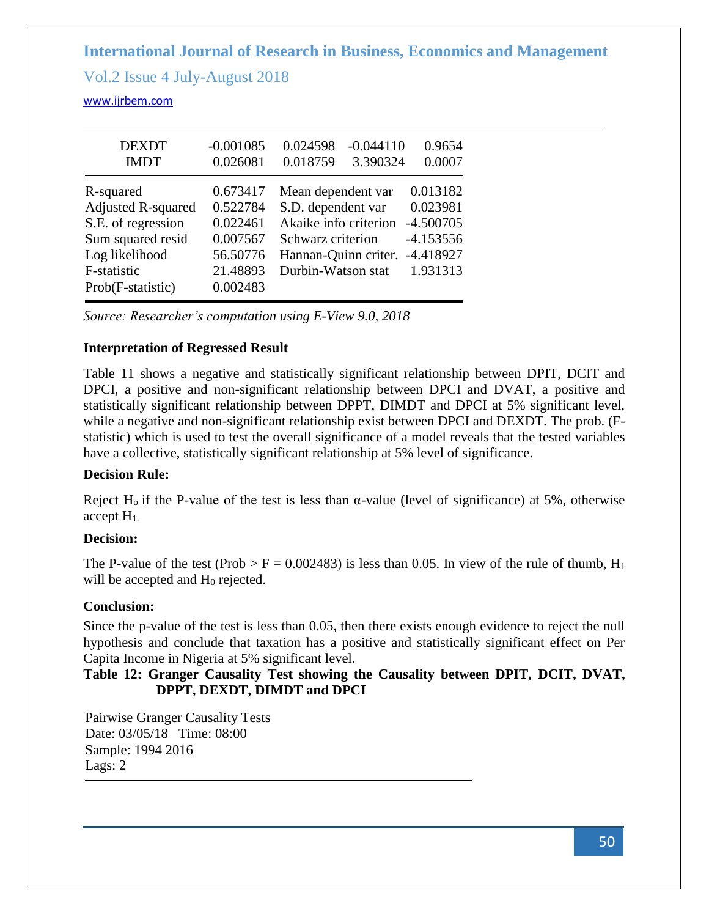Vol.2 Issue 4 July-August 2018

<www.ijrbem.com>

| <b>DEXDT</b><br><b>IMDT</b>                                                                                                             | $-0.001085$<br>0.026081                                                          | 0.024598<br>$-0.044110$<br>0.018759<br>3.390324                                                                                      | 0.9654<br>0.0007                                                              |
|-----------------------------------------------------------------------------------------------------------------------------------------|----------------------------------------------------------------------------------|--------------------------------------------------------------------------------------------------------------------------------------|-------------------------------------------------------------------------------|
| R-squared<br><b>Adjusted R-squared</b><br>S.E. of regression<br>Sum squared resid<br>Log likelihood<br>F-statistic<br>Prob(F-statistic) | 0.673417<br>0.522784<br>0.022461<br>0.007567<br>56.50776<br>21.48893<br>0.002483 | Mean dependent var<br>S.D. dependent var<br>Akaike info criterion<br>Schwarz criterion<br>Hannan-Quinn criter.<br>Durbin-Watson stat | 0.013182<br>0.023981<br>$-4.500705$<br>$-4.153556$<br>$-4.418927$<br>1.931313 |

*Source: Researcher's computation using E-View 9.0, 2018*

# **Interpretation of Regressed Result**

Table 11 shows a negative and statistically significant relationship between DPIT, DCIT and DPCI, a positive and non-significant relationship between DPCI and DVAT, a positive and statistically significant relationship between DPPT, DIMDT and DPCI at 5% significant level, while a negative and non-significant relationship exist between DPCI and DEXDT. The prob. (Fstatistic) which is used to test the overall significance of a model reveals that the tested variables have a collective, statistically significant relationship at 5% level of significance.

# **Decision Rule:**

Reject H<sub>0</sub> if the P-value of the test is less than  $\alpha$ -value (level of significance) at 5%, otherwise accept H1.

# **Decision:**

The P-value of the test (Prob > F = 0.002483) is less than 0.05. In view of the rule of thumb,  $H_1$ will be accepted and H<sub>0</sub> rejected.

# **Conclusion:**

Since the p-value of the test is less than 0.05, then there exists enough evidence to reject the null hypothesis and conclude that taxation has a positive and statistically significant effect on Per Capita Income in Nigeria at 5% significant level.

**Table 12: Granger Causality Test showing the Causality between DPIT, DCIT, DVAT, DPPT, DEXDT, DIMDT and DPCI**

Pairwise Granger Causality Tests Date: 03/05/18 Time: 08:00 Sample: 1994 2016 Lags: 2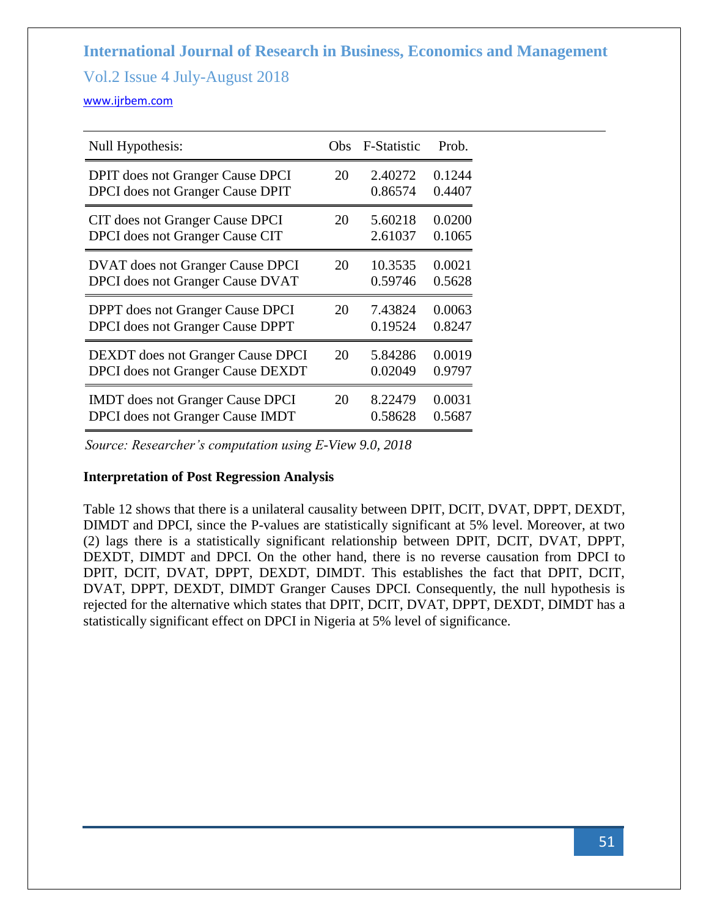# Vol.2 Issue 4 July-August 2018

#### <www.ijrbem.com>

| Null Hypothesis:                         | Obs. | F-Statistic | Prob.  |
|------------------------------------------|------|-------------|--------|
| <b>DPIT</b> does not Granger Cause DPCI  | 20   | 2.40272     | 0.1244 |
| DPCI does not Granger Cause DPIT         |      | 0.86574     | 0.4407 |
| CIT does not Granger Cause DPCI          | 20   | 5.60218     | 0.0200 |
| DPCI does not Granger Cause CIT          |      | 2.61037     | 0.1065 |
| <b>DVAT</b> does not Granger Cause DPCI  | 20   | 10.3535     | 0.0021 |
| DPCI does not Granger Cause DVAT         |      | 0.59746     | 0.5628 |
| <b>DPPT</b> does not Granger Cause DPCI  | 20   | 7.43824     | 0.0063 |
| <b>DPCI</b> does not Granger Cause DPPT  |      | 0.19524     | 0.8247 |
| <b>DEXDT</b> does not Granger Cause DPCI | 20   | 5.84286     | 0.0019 |
| <b>DPCI</b> does not Granger Cause DEXDT |      | 0.02049     | 0.9797 |
| <b>IMDT</b> does not Granger Cause DPCI  | 20   | 8.22479     | 0.0031 |
| <b>DPCI</b> does not Granger Cause IMDT  |      | 0.58628     | 0.5687 |

*Source: Researcher's computation using E-View 9.0, 2018*

### **Interpretation of Post Regression Analysis**

Table 12 shows that there is a unilateral causality between DPIT, DCIT, DVAT, DPPT, DEXDT, DIMDT and DPCI, since the P-values are statistically significant at 5% level. Moreover, at two (2) lags there is a statistically significant relationship between DPIT, DCIT, DVAT, DPPT, DEXDT, DIMDT and DPCI. On the other hand, there is no reverse causation from DPCI to DPIT, DCIT, DVAT, DPPT, DEXDT, DIMDT. This establishes the fact that DPIT, DCIT, DVAT, DPPT, DEXDT, DIMDT Granger Causes DPCI. Consequently, the null hypothesis is rejected for the alternative which states that DPIT, DCIT, DVAT, DPPT, DEXDT, DIMDT has a statistically significant effect on DPCI in Nigeria at 5% level of significance.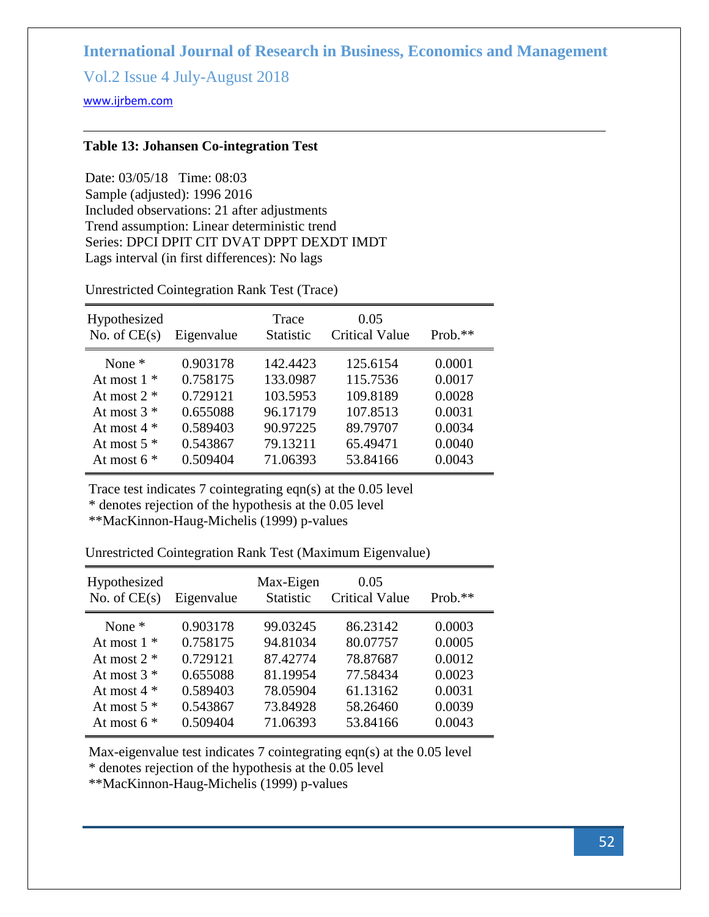Vol.2 Issue 4 July-August 2018

<www.ijrbem.com>

# **Table 13: Johansen Co-integration Test**

Date: 03/05/18 Time: 08:03 Sample (adjusted): 1996 2016 Included observations: 21 after adjustments Trend assumption: Linear deterministic trend Series: DPCI DPIT CIT DVAT DPPT DEXDT IMDT Lags interval (in first differences): No lags

Unrestricted Cointegration Rank Test (Trace)

| No. of $CE(s)$<br>Eigenvalue                                                                                                                                                                                                                                                                                                                                                                                                                   | $Prob.**$ |
|------------------------------------------------------------------------------------------------------------------------------------------------------------------------------------------------------------------------------------------------------------------------------------------------------------------------------------------------------------------------------------------------------------------------------------------------|-----------|
| 0.903178<br>0.0001<br>142.4423<br>125.6154<br>None $*$<br>0.758175<br>133.0987<br>0.0017<br>115.7536<br>At most $1$ *<br>103.5953<br>109.8189<br>0.0028<br>0.729121<br>At most $2 *$<br>96.17179<br>107.8513<br>0.0031<br>0.655088<br>At most $3 *$<br>0.589403<br>90.97225<br>89.79707<br>0.0034<br>At most $4 *$<br>0.543867<br>79.13211<br>0.0040<br>65.49471<br>At most $5*$<br>0.509404<br>0.0043<br>71.06393<br>At most $6*$<br>53.84166 |           |

Trace test indicates 7 cointegrating eqn(s) at the 0.05 level

\* denotes rejection of the hypothesis at the 0.05 level

\*\*MacKinnon-Haug-Michelis (1999) p-values

Unrestricted Cointegration Rank Test (Maximum Eigenvalue)

| Hypothesized<br>No. of $CE(s)$ | Eigenvalue | Max-Eigen<br><b>Statistic</b> | 0.05<br><b>Critical Value</b> | Prob.** |
|--------------------------------|------------|-------------------------------|-------------------------------|---------|
| None $*$                       | 0.903178   | 99.03245                      | 86.23142                      | 0.0003  |
| At most $1 *$                  | 0.758175   | 94.81034                      | 80.07757                      | 0.0005  |
| At most $2 *$                  | 0.729121   | 87.42774                      | 78.87687                      | 0.0012  |
| At most $3*$                   | 0.655088   | 81.19954                      | 77.58434                      | 0.0023  |
| At most $4 *$                  | 0.589403   | 78.05904                      | 61.13162                      | 0.0031  |
| At most $5$ $*$                | 0.543867   | 73.84928                      | 58.26460                      | 0.0039  |
| At most $6*$                   | 0.509404   | 71.06393                      | 53.84166                      | 0.0043  |

Max-eigenvalue test indicates 7 cointegrating eqn(s) at the 0.05 level

\* denotes rejection of the hypothesis at the 0.05 level

\*\*MacKinnon-Haug-Michelis (1999) p-values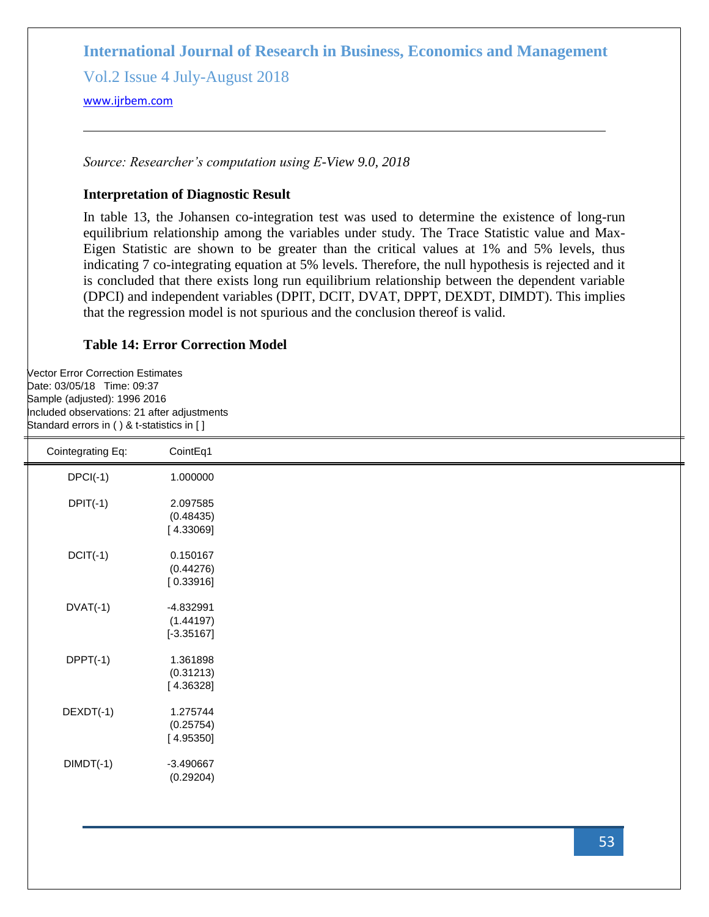Vol.2 Issue 4 July-August 2018

<www.ijrbem.com>

*Source: Researcher's computation using E-View 9.0, 2018*

# **Interpretation of Diagnostic Result**

In table 13, the Johansen co-integration test was used to determine the existence of long-run equilibrium relationship among the variables under study. The Trace Statistic value and Max-Eigen Statistic are shown to be greater than the critical values at 1% and 5% levels, thus indicating 7 co-integrating equation at 5% levels. Therefore, the null hypothesis is rejected and it is concluded that there exists long run equilibrium relationship between the dependent variable (DPCI) and independent variables (DPIT, DCIT, DVAT, DPPT, DEXDT, DIMDT). This implies that the regression model is not spurious and the conclusion thereof is valid.

# **Table 14: Error Correction Model**

Vector Error Correction Estimates Date: 03/05/18 Time: 09:37 Sample (adjusted): 1996 2016 Included observations: 21 after adjustments Standard errors in ( ) & t-statistics in [ ]

| Cointegrating Eq: | CointEq1                                 |  |
|-------------------|------------------------------------------|--|
| $DPCI(-1)$        | 1.000000                                 |  |
| $DPIT(-1)$        | 2.097585<br>(0.48435)<br>[4.33069]       |  |
| $DCIT(-1)$        | 0.150167<br>(0.44276)<br>[0.33916]       |  |
| $DYAT(-1)$        | $-4.832991$<br>(1.44197)<br>$[-3.35167]$ |  |
| $DPPT(-1)$        | 1.361898<br>(0.31213)<br>[4.36328]       |  |
| DEXDT(-1)         | 1.275744<br>(0.25754)<br>[4.95350]       |  |
| $DIMDT(-1)$       | $-3.490667$<br>(0.29204)                 |  |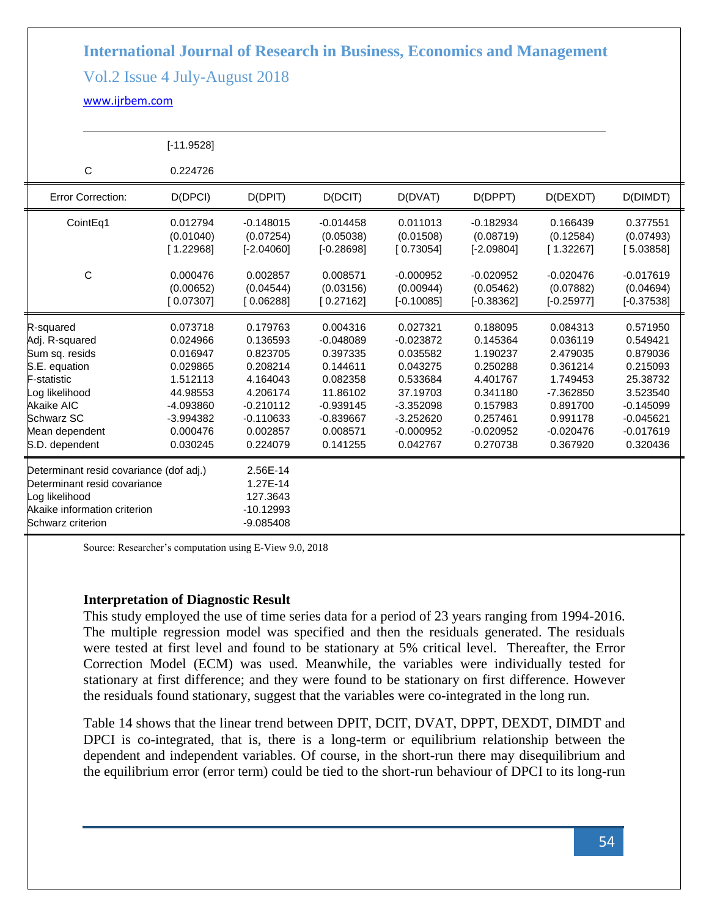# Vol.2 Issue 4 July-August 2018

### <www.ijrbem.com>

|                                                   | $[-11.9528]$                       |                                          |                                          |                                          |                                          |                                          |                                          |
|---------------------------------------------------|------------------------------------|------------------------------------------|------------------------------------------|------------------------------------------|------------------------------------------|------------------------------------------|------------------------------------------|
| $\mathsf{C}$                                      | 0.224726                           |                                          |                                          |                                          |                                          |                                          |                                          |
| <b>Error Correction:</b>                          | D(DPCI)                            | D(DPIT)                                  | D(DCIT)                                  | D(DVAT)                                  | D(DPPT)                                  | D(DEXDT)                                 | D(DIMDT)                                 |
| CointEq1                                          | 0.012794<br>(0.01040)<br>[1.22968] | $-0.148015$<br>(0.07254)<br>$[-2.04060]$ | $-0.014458$<br>(0.05038)<br>$[-0.28698]$ | 0.011013<br>(0.01508)<br>[0.73054]       | $-0.182934$<br>(0.08719)<br>$[-2.09804]$ | 0.166439<br>(0.12584)<br>[1.32267]       | 0.377551<br>(0.07493)<br>[5.03858]       |
| $\mathsf{C}$                                      | 0.000476<br>(0.00652)<br>[0.07307] | 0.002857<br>(0.04544)<br>[0.06288]       | 0.008571<br>(0.03156)<br>[0.27162]       | $-0.000952$<br>(0.00944)<br>$[-0.10085]$ | $-0.020952$<br>(0.05462)<br>$[-0.38362]$ | $-0.020476$<br>(0.07882)<br>$[-0.25977]$ | $-0.017619$<br>(0.04694)<br>$[-0.37538]$ |
| R-squared                                         | 0.073718                           | 0.179763                                 | 0.004316                                 | 0.027321                                 | 0.188095                                 | 0.084313                                 | 0.571950                                 |
| Adj. R-squared                                    | 0.024966                           | 0.136593                                 | $-0.048089$                              | $-0.023872$                              | 0.145364                                 | 0.036119                                 | 0.549421                                 |
| Sum sq. resids                                    | 0.016947                           | 0.823705                                 | 0.397335                                 | 0.035582                                 | 1.190237                                 | 2.479035                                 | 0.879036                                 |
| S.E. equation                                     | 0.029865                           | 0.208214                                 | 0.144611                                 | 0.043275                                 | 0.250288                                 | 0.361214                                 | 0.215093                                 |
| <sup>=</sup> -statistic                           | 1.512113                           | 4.164043                                 | 0.082358                                 | 0.533684                                 | 4.401767                                 | 1.749453                                 | 25.38732                                 |
| og likelihood                                     | 44.98553                           | 4.206174                                 | 11.86102                                 | 37.19703                                 | 0.341180                                 | $-7.362850$                              | 3.523540                                 |
| Akaike AIC                                        | -4.093860                          | $-0.210112$                              | $-0.939145$                              | $-3.352098$                              | 0.157983                                 | 0.891700                                 | $-0.145099$                              |
| Schwarz SC                                        | $-3.994382$                        | $-0.110633$                              | $-0.839667$                              | $-3.252620$                              | 0.257461                                 | 0.991178                                 | $-0.045621$                              |
| Mean dependent                                    | 0.000476                           | 0.002857                                 | 0.008571                                 | $-0.000952$                              | $-0.020952$                              | $-0.020476$                              | $-0.017619$                              |
| S.D. dependent                                    | 0.030245                           | 0.224079                                 | 0.141255                                 | 0.042767                                 | 0.270738                                 | 0.367920                                 | 0.320436                                 |
| Determinant resid covariance (dof adj.)           |                                    | 2.56E-14                                 |                                          |                                          |                                          |                                          |                                          |
| Determinant resid covariance                      |                                    | 1.27E-14                                 |                                          |                                          |                                          |                                          |                                          |
| og likelihood                                     |                                    | 127.3643                                 |                                          |                                          |                                          |                                          |                                          |
| Akaike information criterion<br>Schwarz criterion |                                    | $-10.12993$<br>$-9.085408$               |                                          |                                          |                                          |                                          |                                          |

Source: Researcher's computation using E-View 9.0, 2018

### **Interpretation of Diagnostic Result**

This study employed the use of time series data for a period of 23 years ranging from 1994-2016. The multiple regression model was specified and then the residuals generated. The residuals were tested at first level and found to be stationary at 5% critical level. Thereafter, the Error Correction Model (ECM) was used. Meanwhile, the variables were individually tested for stationary at first difference; and they were found to be stationary on first difference. However the residuals found stationary, suggest that the variables were co-integrated in the long run.

Table 14 shows that the linear trend between DPIT, DCIT, DVAT, DPPT, DEXDT, DIMDT and DPCI is co-integrated, that is, there is a long-term or equilibrium relationship between the dependent and independent variables. Of course, in the short-run there may disequilibrium and the equilibrium error (error term) could be tied to the short-run behaviour of DPCI to its long-run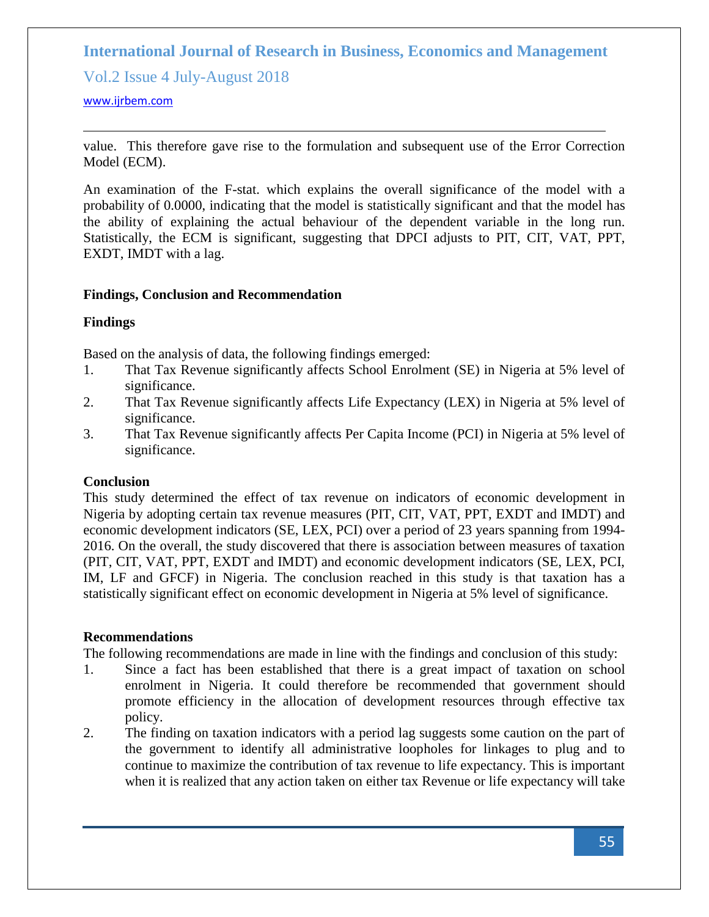Vol.2 Issue 4 July-August 2018

### <www.ijrbem.com>

value. This therefore gave rise to the formulation and subsequent use of the Error Correction Model (ECM).

An examination of the F-stat. which explains the overall significance of the model with a probability of 0.0000, indicating that the model is statistically significant and that the model has the ability of explaining the actual behaviour of the dependent variable in the long run. Statistically, the ECM is significant, suggesting that DPCI adjusts to PIT, CIT, VAT, PPT, EXDT, IMDT with a lag.

### **Findings, Conclusion and Recommendation**

# **Findings**

Based on the analysis of data, the following findings emerged:

- 1. That Tax Revenue significantly affects School Enrolment (SE) in Nigeria at 5% level of significance.
- 2. That Tax Revenue significantly affects Life Expectancy (LEX) in Nigeria at 5% level of significance.
- 3. That Tax Revenue significantly affects Per Capita Income (PCI) in Nigeria at 5% level of significance.

### **Conclusion**

This study determined the effect of tax revenue on indicators of economic development in Nigeria by adopting certain tax revenue measures (PIT, CIT, VAT, PPT, EXDT and IMDT) and economic development indicators (SE, LEX, PCI) over a period of 23 years spanning from 1994- 2016. On the overall, the study discovered that there is association between measures of taxation (PIT, CIT, VAT, PPT, EXDT and IMDT) and economic development indicators (SE, LEX, PCI, IM, LF and GFCF) in Nigeria. The conclusion reached in this study is that taxation has a statistically significant effect on economic development in Nigeria at 5% level of significance.

### **Recommendations**

The following recommendations are made in line with the findings and conclusion of this study:

- 1. Since a fact has been established that there is a great impact of taxation on school enrolment in Nigeria. It could therefore be recommended that government should promote efficiency in the allocation of development resources through effective tax policy.
- 2. The finding on taxation indicators with a period lag suggests some caution on the part of the government to identify all administrative loopholes for linkages to plug and to continue to maximize the contribution of tax revenue to life expectancy. This is important when it is realized that any action taken on either tax Revenue or life expectancy will take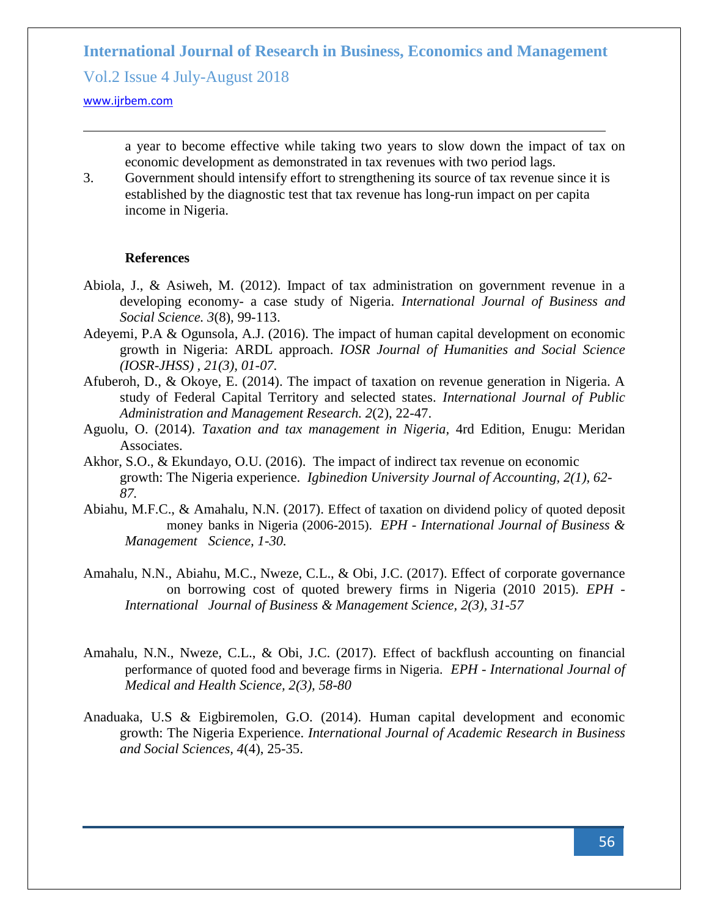Vol.2 Issue 4 July-August 2018

#### <www.ijrbem.com>

a year to become effective while taking two years to slow down the impact of tax on economic development as demonstrated in tax revenues with two period lags.

3. Government should intensify effort to strengthening its source of tax revenue since it is established by the diagnostic test that tax revenue has long-run impact on per capita income in Nigeria.

#### **References**

- Abiola, J., & Asiweh, M. (2012). Impact of tax administration on government revenue in a developing economy- a case study of Nigeria. *International Journal of Business and Social Science. 3*(8)*,* 99-113.
- Adeyemi, P.A & Ogunsola, A.J. (2016). The impact of human capital development on economic growth in Nigeria: ARDL approach. *IOSR Journal of Humanities and Social Science (IOSR-JHSS) , 21(3), 01-07.*
- Afuberoh, D., & Okoye, E. (2014). The impact of taxation on revenue generation in Nigeria. A study of Federal Capital Territory and selected states. *International Journal of Public Administration and Management Research. 2*(2), 22-47.
- Aguolu, O. (2014). *Taxation and tax management in Nigeria,* 4rd Edition, Enugu: Meridan Associates.
- Akhor, S.O., & Ekundayo, O.U. (2016). The impact of indirect tax revenue on economic growth: The Nigeria experience. *Igbinedion University Journal of Accounting, 2(1), 62- 87.*
- Abiahu, M.F.C., & Amahalu, N.N. (2017). Effect of taxation on dividend policy of quoted deposit money banks in Nigeria (2006-2015). *EPH - International Journal of Business & Management Science, 1-30.*
- Amahalu, N.N., Abiahu, M.C., Nweze, C.L., & Obi, J.C. (2017). Effect of corporate governance on borrowing cost of quoted brewery firms in Nigeria (2010 2015). *EPH - International Journal of Business & Management Science, 2(3), 31-57*
- Amahalu, N.N., Nweze, C.L., & Obi, J.C. (2017). Effect of backflush accounting on financial performance of quoted food and beverage firms in Nigeria. *EPH - International Journal of Medical and Health Science, 2(3), 58-80*
- Anaduaka, U.S & Eigbiremolen, G.O. (2014). Human capital development and economic growth: The Nigeria Experience. *International Journal of Academic Research in Business and Social Sciences, 4*(4), 25-35.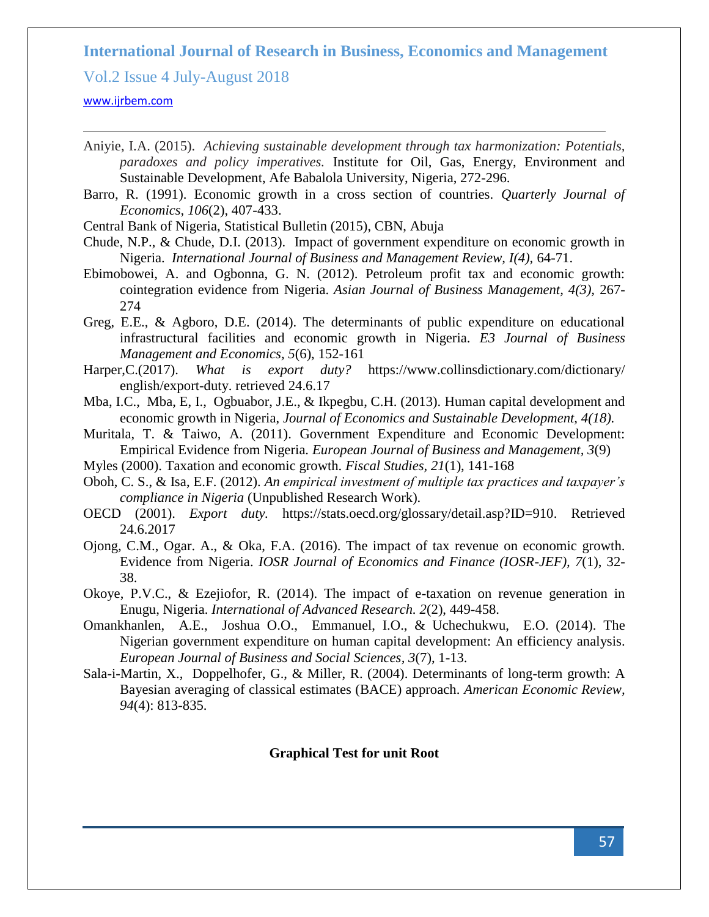Vol.2 Issue 4 July-August 2018

#### <www.ijrbem.com>

- Aniyie, I.A. (2015). *Achieving sustainable development through tax harmonization: Potentials, paradoxes and policy imperatives.* Institute for Oil, Gas, Energy, Environment and Sustainable Development, Afe Babalola University, Nigeria, 272-296.
- Barro, R. (1991). Economic growth in a cross section of countries. *Quarterly Journal of Economics, 106*(2), 407-433.
- Central Bank of Nigeria, Statistical Bulletin (2015), CBN, Abuja
- Chude, N.P., & Chude, D.I. (2013). Impact of government expenditure on economic growth in Nigeria. *International Journal of Business and Management Review, I(4),* 64-71.
- Ebimobowei, A. and Ogbonna, G. N. (2012). Petroleum profit tax and economic growth: cointegration evidence from Nigeria. *Asian Journal of Business Management, 4(3),* 267- 274
- Greg, E.E., & Agboro, D.E. (2014). The determinants of public expenditure on educational infrastructural facilities and economic growth in Nigeria. *E3 Journal of Business Management and Economics, 5*(6), 152-161
- Harper,C.(2017). *What is export duty?* [https://www.collinsdictionary.com/dictionary/](https://www.collinsdictionary.com/dictionary/%20english/export-duty.%20retrieved%2024.6.17)  [english/export-duty. retrieved 24.6.17](https://www.collinsdictionary.com/dictionary/%20english/export-duty.%20retrieved%2024.6.17)
- Mba, I.C., Mba, E, I., Ogbuabor, J.E., & Ikpegbu, C.H. (2013). Human capital development and economic growth in Nigeria, *Journal of Economics and Sustainable Development, 4(18).*
- Muritala, T. & Taiwo, A. (2011). Government Expenditure and Economic Development: Empirical Evidence from Nigeria. *European Journal of Business and Management, 3*(9)
- Myles (2000). Taxation and economic growth. *Fiscal Studies, 21*(1), 141-168
- Oboh, C. S., & Isa, E.F. (2012). *An empirical investment of multiple tax practices and taxpayer's compliance in Nigeria* (Unpublished Research Work).
- OECD (2001). *Export duty.* [https://stats.oecd.org/glossary/detail.asp?ID=910.](https://stats.oecd.org/glossary/detail.asp?ID=910) Retrieved 24.6.2017
- Ojong, C.M., Ogar. A., & Oka, F.A. (2016). The impact of tax revenue on economic growth. Evidence from Nigeria. *IOSR Journal of Economics and Finance (IOSR-JEF), 7*(1), 32- 38.
- Okoye, P.V.C., & Ezejiofor, R. (2014). The impact of e-taxation on revenue generation in Enugu, Nigeria. *International of Advanced Research. 2*(2), 449-458.
- Omankhanlen, A.E., Joshua O.O., Emmanuel, I.O., & Uchechukwu, E.O. (2014). The Nigerian government expenditure on human capital development: An efficiency analysis. *European Journal of Business and Social Sciences, 3*(7), 1-13.
- Sala-i-Martin, X., Doppelhofer, G., & Miller, R. (2004). Determinants of long-term growth: A Bayesian averaging of classical estimates (BACE) approach. *American Economic Review, 94*(4): 813-835.

#### **Graphical Test for unit Root**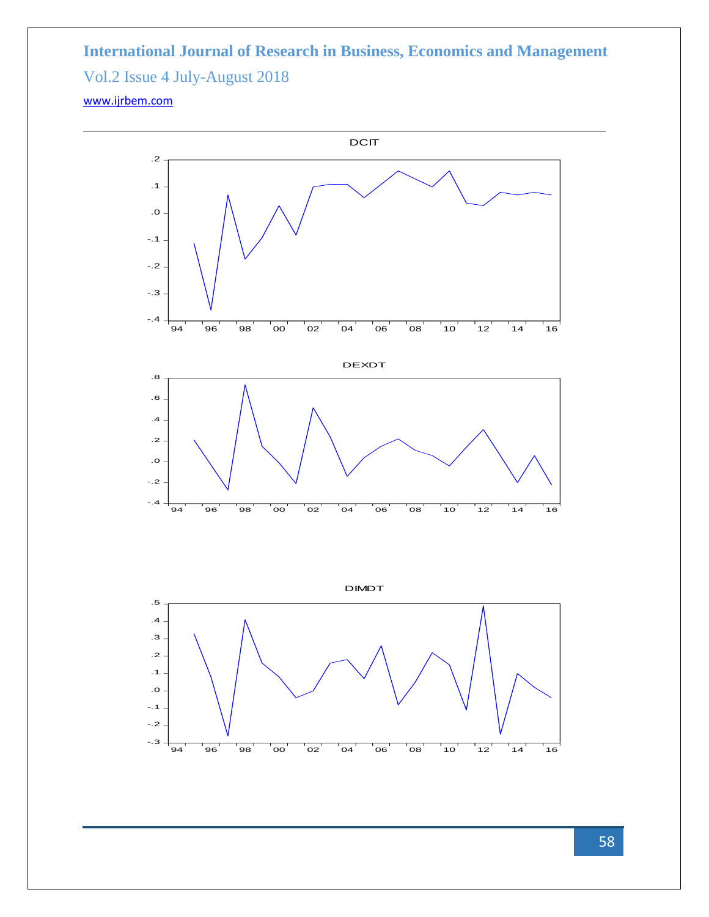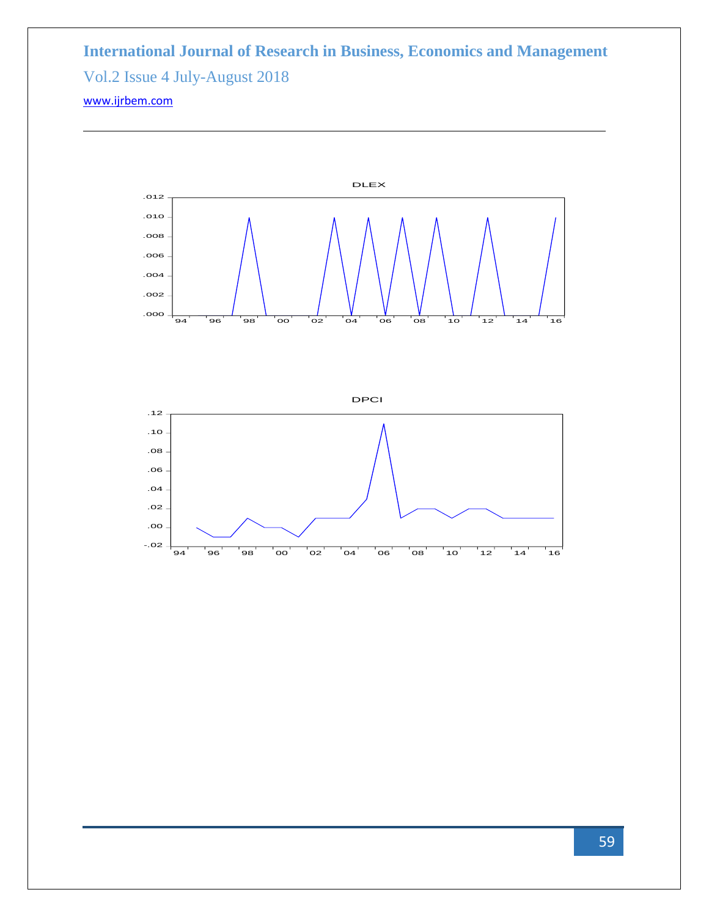



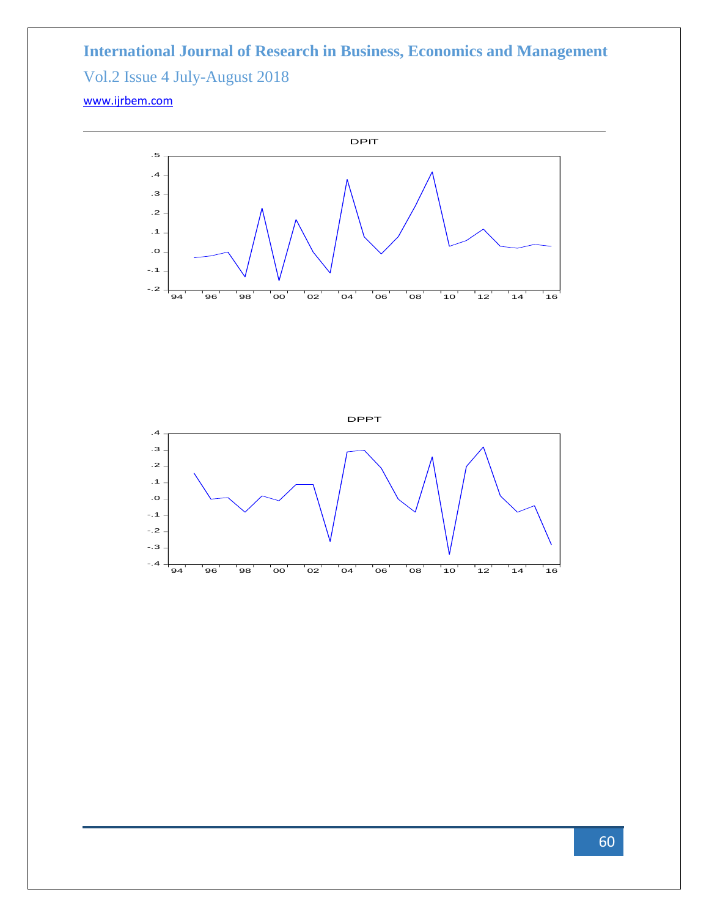